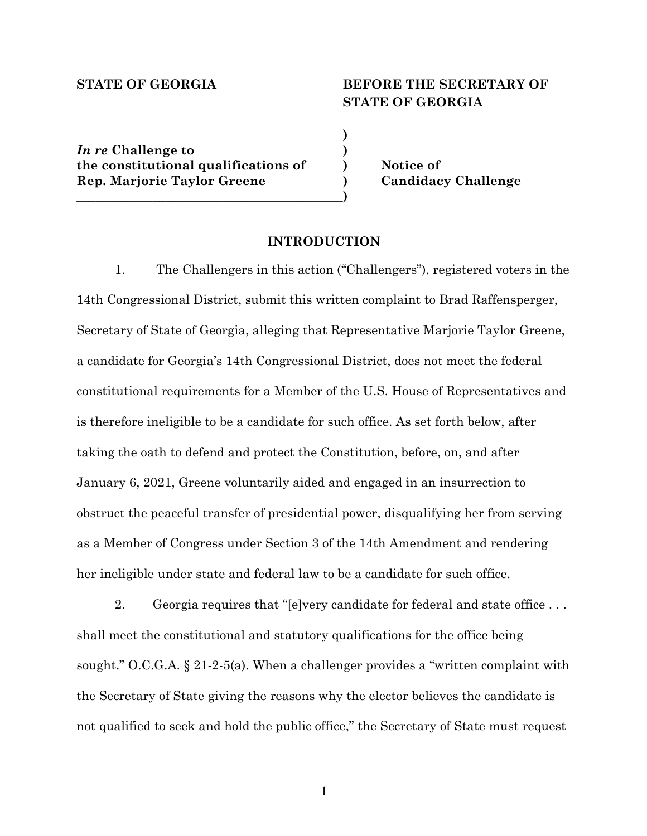# **STATE OF GEORGIA BEFORE THE SECRETARY OF STATE OF GEORGIA**

*In re* **Challenge to ) the constitutional qualifications of ) Notice of Rep. Marjorie Taylor Greene ) Candidacy Challenge \_\_\_\_\_\_\_\_\_\_\_\_\_\_\_\_\_\_\_\_\_\_\_\_\_\_\_\_\_\_\_\_\_\_\_\_\_\_\_\_\_\_)**

#### **INTRODUCTION**

**)**

1. The Challengers in this action ("Challengers"), registered voters in the 14th Congressional District, submit this written complaint to Brad Raffensperger, Secretary of State of Georgia, alleging that Representative Marjorie Taylor Greene, a candidate for Georgia's 14th Congressional District, does not meet the federal constitutional requirements for a Member of the U.S. House of Representatives and is therefore ineligible to be a candidate for such office. As set forth below, after taking the oath to defend and protect the Constitution, before, on, and after January 6, 2021, Greene voluntarily aided and engaged in an insurrection to obstruct the peaceful transfer of presidential power, disqualifying her from serving as a Member of Congress under Section 3 of the 14th Amendment and rendering her ineligible under state and federal law to be a candidate for such office.

2. Georgia requires that "[e]very candidate for federal and state office . . . shall meet the constitutional and statutory qualifications for the office being sought." O.C.G.A.  $\S 21-2-5(a)$ . When a challenger provides a "written complaint with the Secretary of State giving the reasons why the elector believes the candidate is not qualified to seek and hold the public office," the Secretary of State must request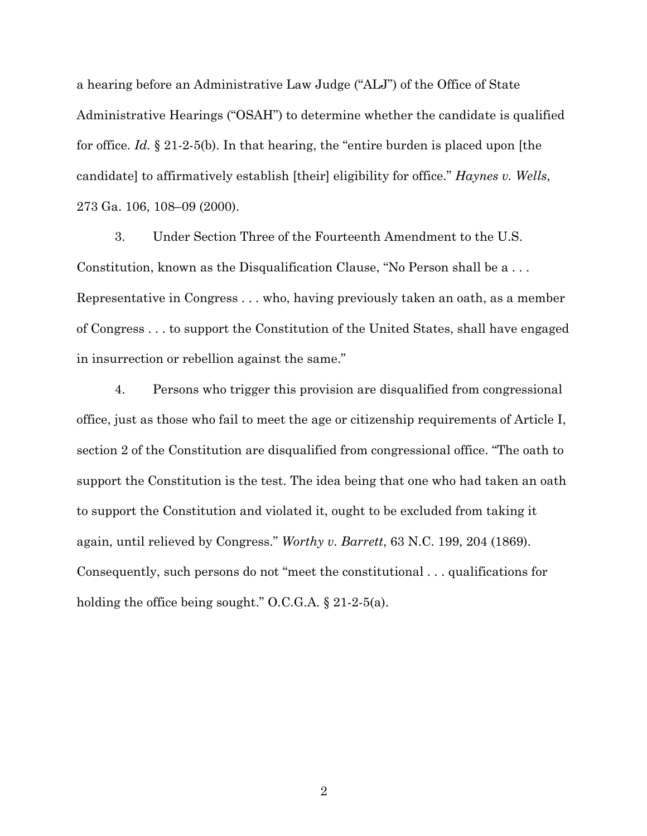a hearing before an Administrative Law Judge ("ALJ") of the Office of State Administrative Hearings ("OSAH") to determine whether the candidate is qualified for office. *Id.* § 21-2-5(b). In that hearing, the "entire burden is placed upon [the candidate] to affirmatively establish [their] eligibility for office." *Haynes v. Wells*, 273 Ga. 106, 108–09 (2000).

3. Under Section Three of the Fourteenth Amendment to the U.S. Constitution, known as the Disqualification Clause, "No Person shall be a . . . Representative in Congress . . . who, having previously taken an oath, as a member of Congress . . . to support the Constitution of the United States, shall have engaged in insurrection or rebellion against the same."

4. Persons who trigger this provision are disqualified from congressional office, just as those who fail to meet the age or citizenship requirements of Article I, section 2 of the Constitution are disqualified from congressional office. "The oath to support the Constitution is the test. The idea being that one who had taken an oath to support the Constitution and violated it, ought to be excluded from taking it again, until relieved by Congress." *Worthy v. Barrett*, 63 N.C. 199, 204 (1869). Consequently, such persons do not "meet the constitutional . . . qualifications for holding the office being sought." O.C.G.A. § 21-2-5(a).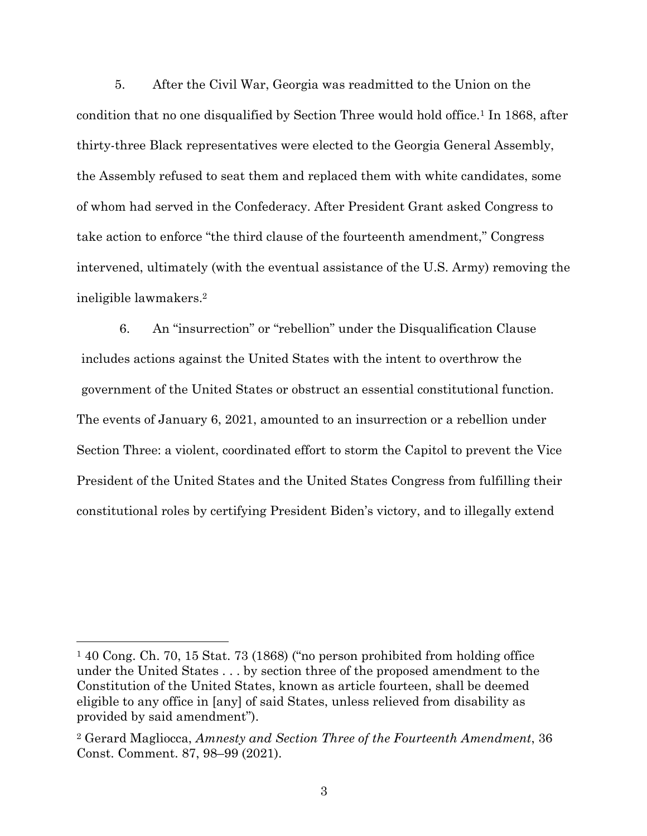5. After the Civil War, Georgia was readmitted to the Union on the condition that no one disqualified by Section Three would hold office.<sup>1</sup> In 1868, after thirty-three Black representatives were elected to the Georgia General Assembly, the Assembly refused to seat them and replaced them with white candidates, some of whom had served in the Confederacy. After President Grant asked Congress to take action to enforce "the third clause of the fourteenth amendment," Congress intervened, ultimately (with the eventual assistance of the U.S. Army) removing the ineligible lawmakers.2

6. An "insurrection" or "rebellion" under the Disqualification Clause includes actions against the United States with the intent to overthrow the government of the United States or obstruct an essential constitutional function. The events of January 6, 2021, amounted to an insurrection or a rebellion under Section Three: a violent, coordinated effort to storm the Capitol to prevent the Vice President of the United States and the United States Congress from fulfilling their constitutional roles by certifying President Biden's victory, and to illegally extend

<sup>1</sup> 40 Cong. Ch. 70, 15 Stat. 73 (1868) ("no person prohibited from holding office under the United States . . . by section three of the proposed amendment to the Constitution of the United States, known as article fourteen, shall be deemed eligible to any office in [any] of said States, unless relieved from disability as provided by said amendment").

<sup>2</sup> Gerard Magliocca, *Amnesty and Section Three of the Fourteenth Amendment*, 36 Const. Comment. 87, 98–99 (2021).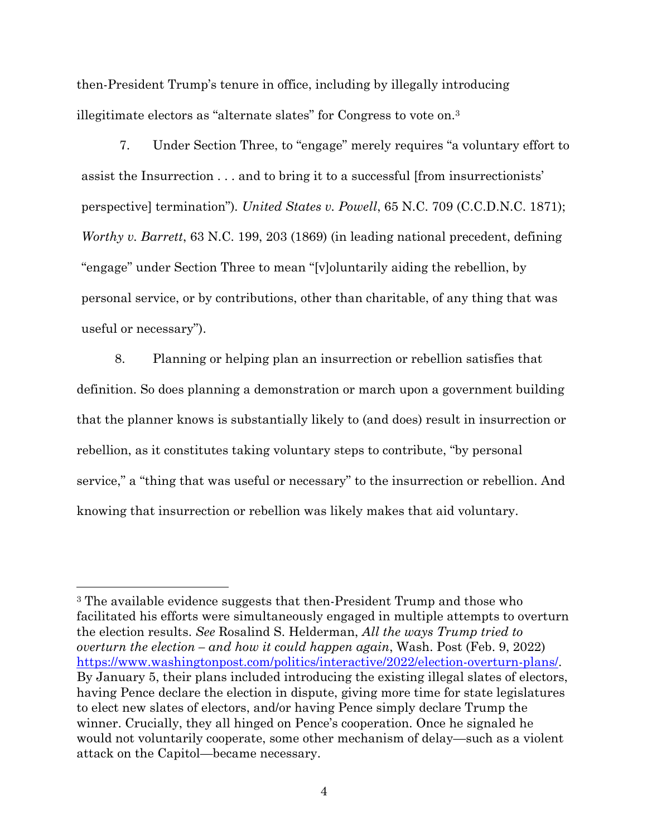then-President Trump's tenure in office, including by illegally introducing illegitimate electors as "alternate slates" for Congress to vote on.3

7. Under Section Three, to "engage" merely requires "a voluntary effort to assist the Insurrection . . . and to bring it to a successful [from insurrectionists' perspective] termination")*. United States v. Powell*, 65 N.C. 709 (C.C.D.N.C. 1871); *Worthy v. Barrett*, 63 N.C. 199, 203 (1869) (in leading national precedent, defining "engage" under Section Three to mean "[v]oluntarily aiding the rebellion, by personal service, or by contributions, other than charitable, of any thing that was useful or necessary").

8. Planning or helping plan an insurrection or rebellion satisfies that definition. So does planning a demonstration or march upon a government building that the planner knows is substantially likely to (and does) result in insurrection or rebellion, as it constitutes taking voluntary steps to contribute, "by personal service," a "thing that was useful or necessary" to the insurrection or rebellion. And knowing that insurrection or rebellion was likely makes that aid voluntary.

<sup>3</sup> The available evidence suggests that then-President Trump and those who facilitated his efforts were simultaneously engaged in multiple attempts to overturn the election results. *See* Rosalind S. Helderman, *All the ways Trump tried to overturn the election – and how it could happen again*, Wash. Post (Feb. 9, 2022) https://www.washingtonpost.com/politics/interactive/2022/election-overturn-plans/. By January 5, their plans included introducing the existing illegal slates of electors, having Pence declare the election in dispute, giving more time for state legislatures to elect new slates of electors, and/or having Pence simply declare Trump the winner. Crucially, they all hinged on Pence's cooperation. Once he signaled he would not voluntarily cooperate, some other mechanism of delay—such as a violent attack on the Capitol—became necessary.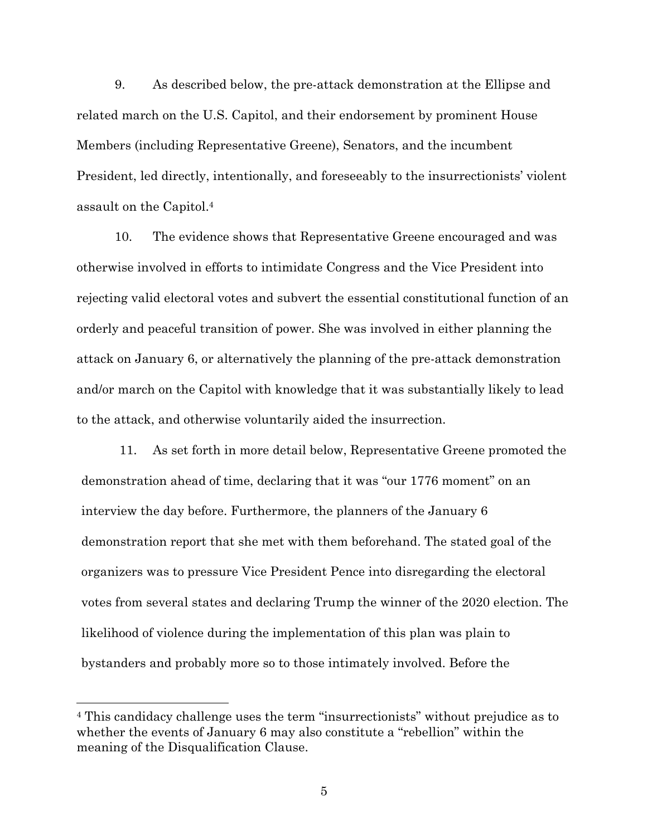9. As described below, the pre-attack demonstration at the Ellipse and related march on the U.S. Capitol, and their endorsement by prominent House Members (including Representative Greene), Senators, and the incumbent President, led directly, intentionally, and foreseeably to the insurrectionists' violent assault on the Capitol.4

10. The evidence shows that Representative Greene encouraged and was otherwise involved in efforts to intimidate Congress and the Vice President into rejecting valid electoral votes and subvert the essential constitutional function of an orderly and peaceful transition of power. She was involved in either planning the attack on January 6, or alternatively the planning of the pre-attack demonstration and/or march on the Capitol with knowledge that it was substantially likely to lead to the attack, and otherwise voluntarily aided the insurrection.

11. As set forth in more detail below, Representative Greene promoted the demonstration ahead of time, declaring that it was "our 1776 moment" on an interview the day before. Furthermore, the planners of the January 6 demonstration report that she met with them beforehand. The stated goal of the organizers was to pressure Vice President Pence into disregarding the electoral votes from several states and declaring Trump the winner of the 2020 election. The likelihood of violence during the implementation of this plan was plain to bystanders and probably more so to those intimately involved. Before the

<sup>4</sup> This candidacy challenge uses the term "insurrectionists" without prejudice as to whether the events of January 6 may also constitute a "rebellion" within the meaning of the Disqualification Clause.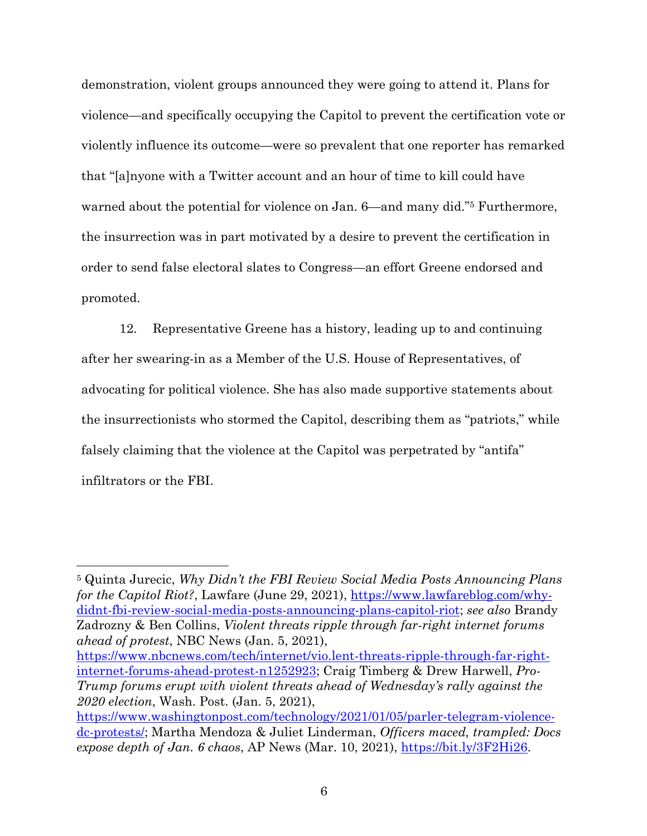demonstration, violent groups announced they were going to attend it. Plans for violence—and specifically occupying the Capitol to prevent the certification vote or violently influence its outcome—were so prevalent that one reporter has remarked that "[a]nyone with a Twitter account and an hour of time to kill could have warned about the potential for violence on Jan. 6—and many did."<sup>5</sup> Furthermore, the insurrection was in part motivated by a desire to prevent the certification in order to send false electoral slates to Congress—an effort Greene endorsed and promoted.

12. Representative Greene has a history, leading up to and continuing after her swearing-in as a Member of the U.S. House of Representatives, of advocating for political violence. She has also made supportive statements about the insurrectionists who stormed the Capitol, describing them as "patriots," while falsely claiming that the violence at the Capitol was perpetrated by "antifa" infiltrators or the FBI.

<sup>5</sup> Quinta Jurecic, *Why Didn't the FBI Review Social Media Posts Announcing Plans for the Capitol Riot?*, Lawfare (June 29, 2021), https://www.lawfareblog.com/whydidnt-fbi-review-social-media-posts-announcing-plans-capitol-riot; *see also* Brandy Zadrozny & Ben Collins, *Violent threats ripple through far-right internet forums ahead of protest*, NBC News (Jan. 5, 2021),

https://www.nbcnews.com/tech/internet/vio.lent-threats-ripple-through-far-rightinternet-forums-ahead-protest-n1252923; Craig Timberg & Drew Harwell, *Pro-Trump forums erupt with violent threats ahead of Wednesday's rally against the 2020 election*, Wash. Post. (Jan. 5, 2021),

https://www.washingtonpost.com/technology/2021/01/05/parler-telegram-violencedc-protests/; Martha Mendoza & Juliet Linderman, *Officers maced, trampled: Docs expose depth of Jan. 6 chaos*, AP News (Mar. 10, 2021), https://bit.ly/3F2Hi26.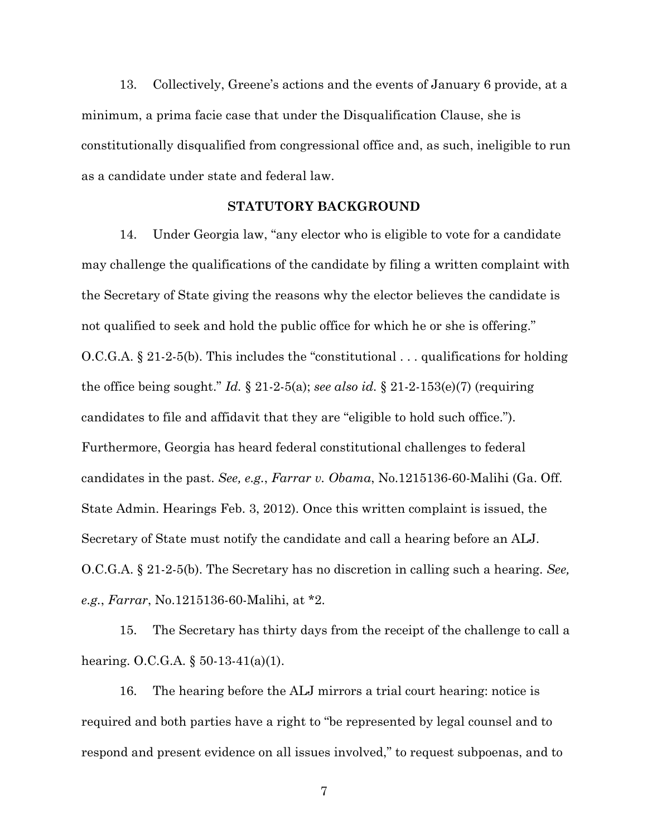13. Collectively, Greene's actions and the events of January 6 provide, at a minimum, a prima facie case that under the Disqualification Clause, she is constitutionally disqualified from congressional office and, as such, ineligible to run as a candidate under state and federal law.

## **STATUTORY BACKGROUND**

14. Under Georgia law, "any elector who is eligible to vote for a candidate may challenge the qualifications of the candidate by filing a written complaint with the Secretary of State giving the reasons why the elector believes the candidate is not qualified to seek and hold the public office for which he or she is offering." O.C.G.A. § 21-2-5(b). This includes the "constitutional . . . qualifications for holding the office being sought." *Id.* § 21-2-5(a); *see also id.* § 21-2-153(e)(7) (requiring candidates to file and affidavit that they are "eligible to hold such office."). Furthermore, Georgia has heard federal constitutional challenges to federal candidates in the past. *See, e.g.*, *Farrar v. Obama*, No.1215136-60-Malihi (Ga. Off. State Admin. Hearings Feb. 3, 2012). Once this written complaint is issued, the Secretary of State must notify the candidate and call a hearing before an ALJ. O.C.G.A. § 21-2-5(b). The Secretary has no discretion in calling such a hearing. *See, e.g.*, *Farrar*, No.1215136-60-Malihi, at \*2.

15. The Secretary has thirty days from the receipt of the challenge to call a hearing. O.C.G.A. § 50-13-41(a)(1).

16. The hearing before the ALJ mirrors a trial court hearing: notice is required and both parties have a right to "be represented by legal counsel and to respond and present evidence on all issues involved," to request subpoenas, and to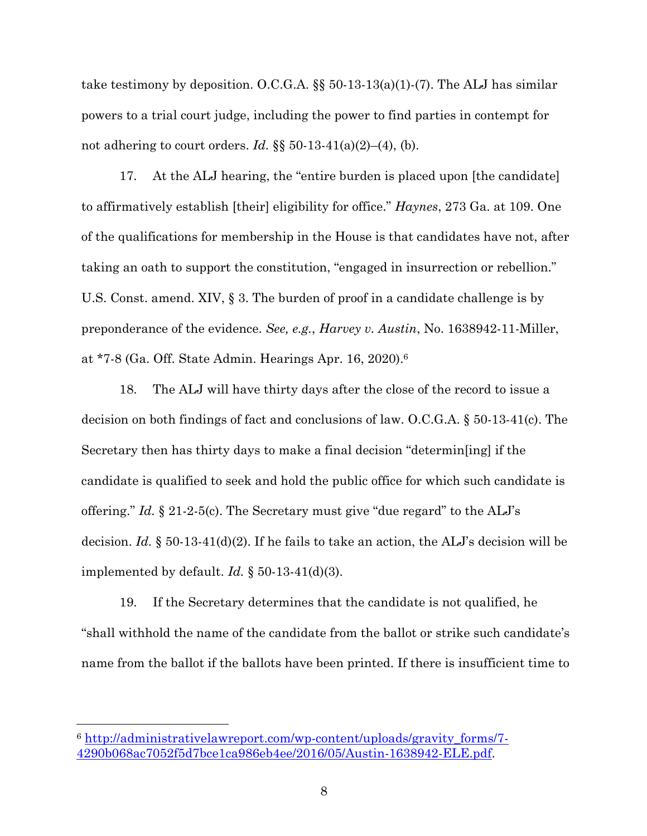take testimony by deposition. O.C.G.A. §§ 50-13-13(a)(1)-(7). The ALJ has similar powers to a trial court judge, including the power to find parties in contempt for not adhering to court orders. *Id.* §§ 50-13-41(a)(2)–(4), (b).

17. At the ALJ hearing, the "entire burden is placed upon [the candidate] to affirmatively establish [their] eligibility for office." *Haynes*, 273 Ga. at 109. One of the qualifications for membership in the House is that candidates have not, after taking an oath to support the constitution, "engaged in insurrection or rebellion." U.S. Const. amend. XIV, § 3. The burden of proof in a candidate challenge is by preponderance of the evidence. *See, e.g.*, *Harvey v. Austin*, No. 1638942-11-Miller, at \*7-8 (Ga. Off. State Admin. Hearings Apr. 16, 2020).6

18. The ALJ will have thirty days after the close of the record to issue a decision on both findings of fact and conclusions of law. O.C.G.A. § 50-13-41(c). The Secretary then has thirty days to make a final decision "determin[ing] if the candidate is qualified to seek and hold the public office for which such candidate is offering." *Id.* § 21-2-5(c). The Secretary must give "due regard" to the ALJ's decision. *Id.*  $\S 50-13-41(d)(2)$ . If he fails to take an action, the ALJ's decision will be implemented by default. *Id.* § 50-13-41(d)(3).

19. If the Secretary determines that the candidate is not qualified, he "shall withhold the name of the candidate from the ballot or strike such candidate's name from the ballot if the ballots have been printed. If there is insufficient time to

<sup>6</sup> http://administrativelawreport.com/wp-content/uploads/gravity\_forms/7- 4290b068ac7052f5d7bce1ca986eb4ee/2016/05/Austin-1638942-ELE.pdf.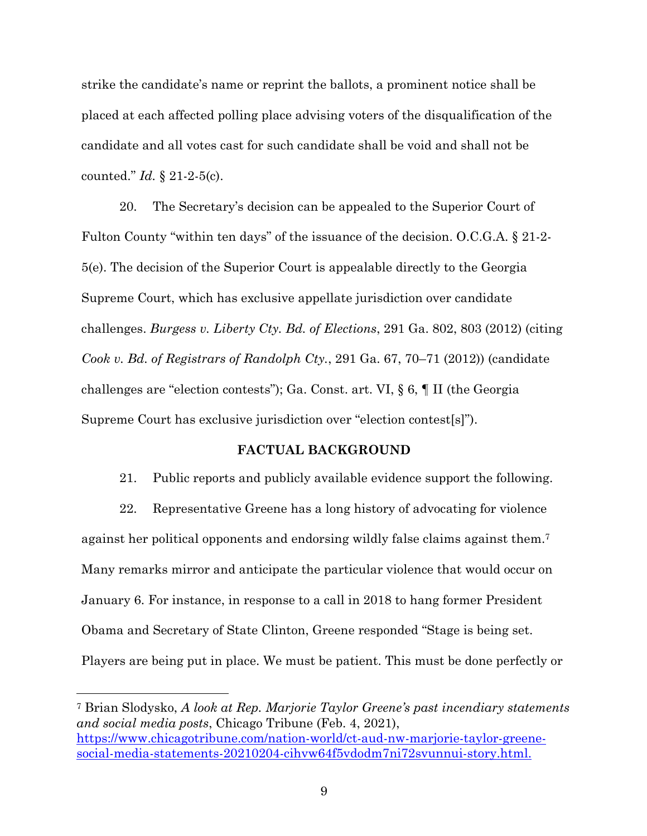strike the candidate's name or reprint the ballots, a prominent notice shall be placed at each affected polling place advising voters of the disqualification of the candidate and all votes cast for such candidate shall be void and shall not be counted." *Id.* § 21-2-5(c).

20. The Secretary's decision can be appealed to the Superior Court of Fulton County "within ten days" of the issuance of the decision. O.C.G.A. § 21-2- 5(e). The decision of the Superior Court is appealable directly to the Georgia Supreme Court, which has exclusive appellate jurisdiction over candidate challenges. *Burgess v. Liberty Cty. Bd. of Elections*, 291 Ga. 802, 803 (2012) (citing *Cook v. Bd. of Registrars of Randolph Cty.*, 291 Ga. 67, 70–71 (2012)) (candidate challenges are "election contests"); Ga. Const. art. VI, § 6, ¶ II (the Georgia Supreme Court has exclusive jurisdiction over "election contest[s]").

### **FACTUAL BACKGROUND**

21. Public reports and publicly available evidence support the following.

22. Representative Greene has a long history of advocating for violence against her political opponents and endorsing wildly false claims against them.7 Many remarks mirror and anticipate the particular violence that would occur on January 6. For instance, in response to a call in 2018 to hang former President Obama and Secretary of State Clinton, Greene responded "Stage is being set. Players are being put in place. We must be patient. This must be done perfectly or

<sup>7</sup> Brian Slodysko, *A look at Rep. Marjorie Taylor Greene's past incendiary statements and social media posts*, Chicago Tribune (Feb. 4, 2021), https://www.chicagotribune.com/nation-world/ct-aud-nw-marjorie-taylor-greenesocial-media-statements-20210204-cihvw64f5vdodm7ni72svunnui-story.html.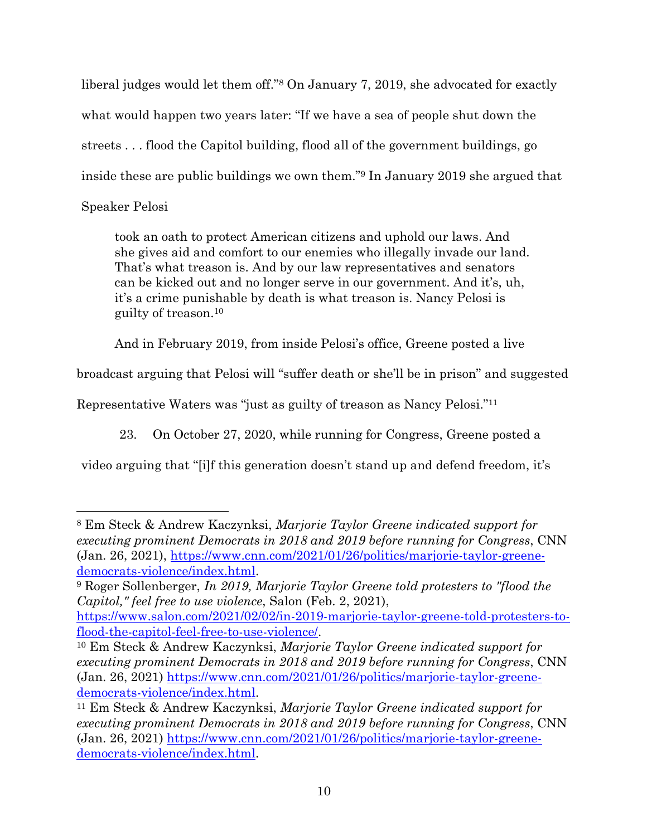liberal judges would let them off."8 On January 7, 2019, she advocated for exactly what would happen two years later: "If we have a sea of people shut down the streets . . . flood the Capitol building, flood all of the government buildings, go inside these are public buildings we own them."9 In January 2019 she argued that Speaker Pelosi

took an oath to protect American citizens and uphold our laws. And she gives aid and comfort to our enemies who illegally invade our land. That's what treason is. And by our law representatives and senators can be kicked out and no longer serve in our government. And it's, uh, it's a crime punishable by death is what treason is. Nancy Pelosi is guilty of treason.10

And in February 2019, from inside Pelosi's office, Greene posted a live

broadcast arguing that Pelosi will "suffer death or she'll be in prison" and suggested

Representative Waters was "just as guilty of treason as Nancy Pelosi."11

23. On October 27, 2020, while running for Congress, Greene posted a

video arguing that "[i]f this generation doesn't stand up and defend freedom, it's

<sup>8</sup> Em Steck & Andrew Kaczynksi, *Marjorie Taylor Greene indicated support for executing prominent Democrats in 2018 and 2019 before running for Congress*, CNN (Jan. 26, 2021), https://www.cnn.com/2021/01/26/politics/marjorie-taylor-greenedemocrats-violence/index.html.

<sup>9</sup> Roger Sollenberger, *In 2019, Marjorie Taylor Greene told protesters to "flood the Capitol," feel free to use violence*, Salon (Feb. 2, 2021),

https://www.salon.com/2021/02/02/in-2019-marjorie-taylor-greene-told-protesters-toflood-the-capitol-feel-free-to-use-violence/.

<sup>10</sup> Em Steck & Andrew Kaczynksi, *Marjorie Taylor Greene indicated support for executing prominent Democrats in 2018 and 2019 before running for Congress*, CNN (Jan. 26, 2021) https://www.cnn.com/2021/01/26/politics/marjorie-taylor-greenedemocrats-violence/index.html.

<sup>11</sup> Em Steck & Andrew Kaczynksi, *Marjorie Taylor Greene indicated support for executing prominent Democrats in 2018 and 2019 before running for Congress*, CNN (Jan. 26, 2021) https://www.cnn.com/2021/01/26/politics/marjorie-taylor-greenedemocrats-violence/index.html.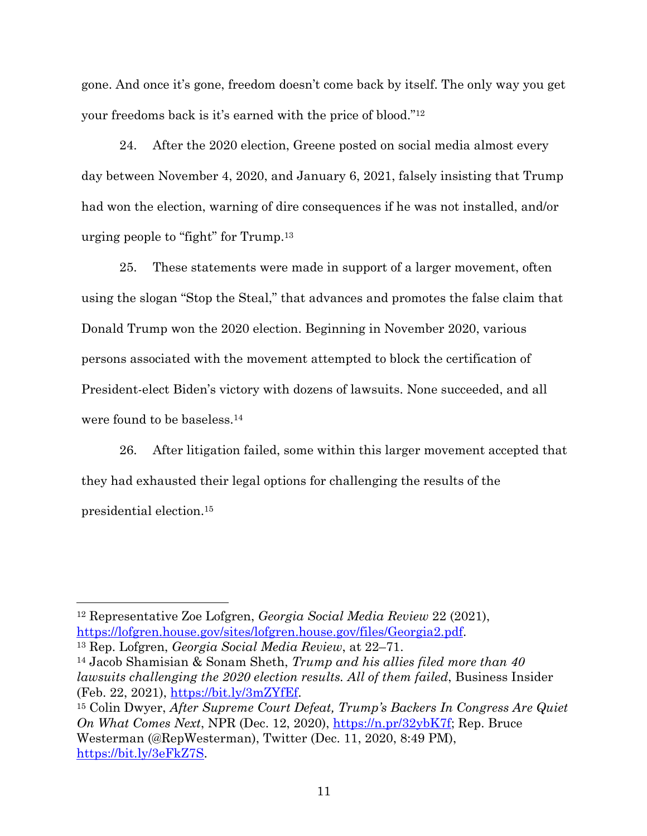gone. And once it's gone, freedom doesn't come back by itself. The only way you get your freedoms back is it's earned with the price of blood."12

24. After the 2020 election, Greene posted on social media almost every day between November 4, 2020, and January 6, 2021, falsely insisting that Trump had won the election, warning of dire consequences if he was not installed, and/or urging people to "fight" for Trump.13

25. These statements were made in support of a larger movement, often using the slogan "Stop the Steal," that advances and promotes the false claim that Donald Trump won the 2020 election. Beginning in November 2020, various persons associated with the movement attempted to block the certification of President-elect Biden's victory with dozens of lawsuits. None succeeded, and all were found to be baseless.14

26. After litigation failed, some within this larger movement accepted that they had exhausted their legal options for challenging the results of the presidential election.15

<sup>12</sup> Representative Zoe Lofgren, *Georgia Social Media Review* 22 (2021), https://lofgren.house.gov/sites/lofgren.house.gov/files/Georgia2.pdf. 13 Rep. Lofgren, *Georgia Social Media Review*, at 22–71.

<sup>14</sup> Jacob Shamisian & Sonam Sheth, *Trump and his allies filed more than 40 lawsuits challenging the 2020 election results. All of them failed*, Business Insider (Feb. 22, 2021), https://bit.ly/3mZYfEf. 15 Colin Dwyer, *After Supreme Court Defeat, Trump's Backers In Congress Are Quiet* 

*On What Comes Next*, NPR (Dec. 12, 2020), https://n.pr/32ybK7f; Rep. Bruce Westerman (@RepWesterman), Twitter (Dec. 11, 2020, 8:49 PM), https://bit.ly/3eFkZ7S.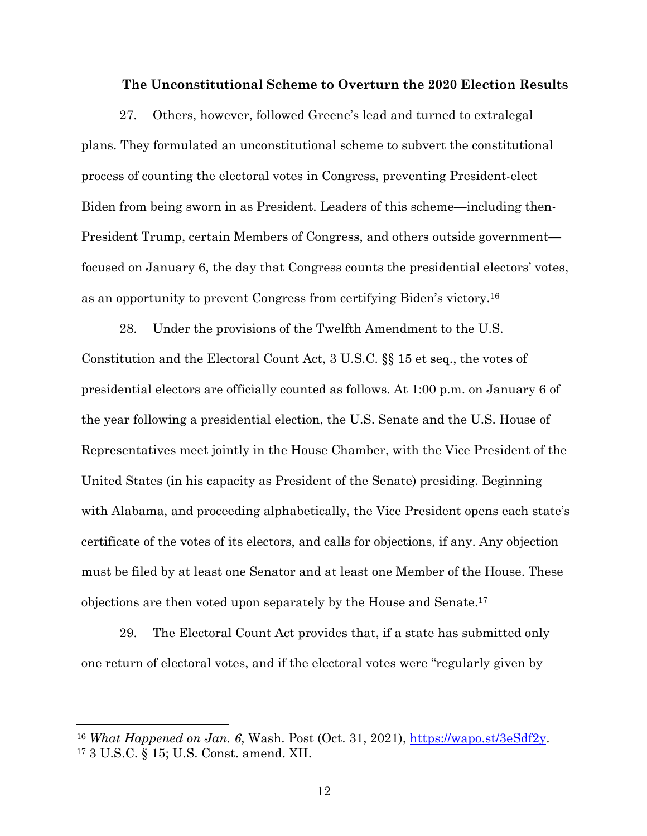#### **The Unconstitutional Scheme to Overturn the 2020 Election Results**

27. Others, however, followed Greene's lead and turned to extralegal plans. They formulated an unconstitutional scheme to subvert the constitutional process of counting the electoral votes in Congress, preventing President-elect Biden from being sworn in as President. Leaders of this scheme—including then-President Trump, certain Members of Congress, and others outside government focused on January 6, the day that Congress counts the presidential electors' votes, as an opportunity to prevent Congress from certifying Biden's victory.16

28. Under the provisions of the Twelfth Amendment to the U.S. Constitution and the Electoral Count Act, 3 U.S.C. §§ 15 et seq., the votes of presidential electors are officially counted as follows. At 1:00 p.m. on January 6 of the year following a presidential election, the U.S. Senate and the U.S. House of Representatives meet jointly in the House Chamber, with the Vice President of the United States (in his capacity as President of the Senate) presiding. Beginning with Alabama, and proceeding alphabetically, the Vice President opens each state's certificate of the votes of its electors, and calls for objections, if any. Any objection must be filed by at least one Senator and at least one Member of the House. These objections are then voted upon separately by the House and Senate.17

29. The Electoral Count Act provides that, if a state has submitted only one return of electoral votes, and if the electoral votes were "regularly given by

<sup>&</sup>lt;sup>16</sup> *What Happened on Jan. 6*, Wash. Post (Oct. 31, 2021), <u>https://wapo.st/3eSdf2y</u>.<br><sup>17</sup> 3 U.S.C. § 15; U.S. Const. amend. XII.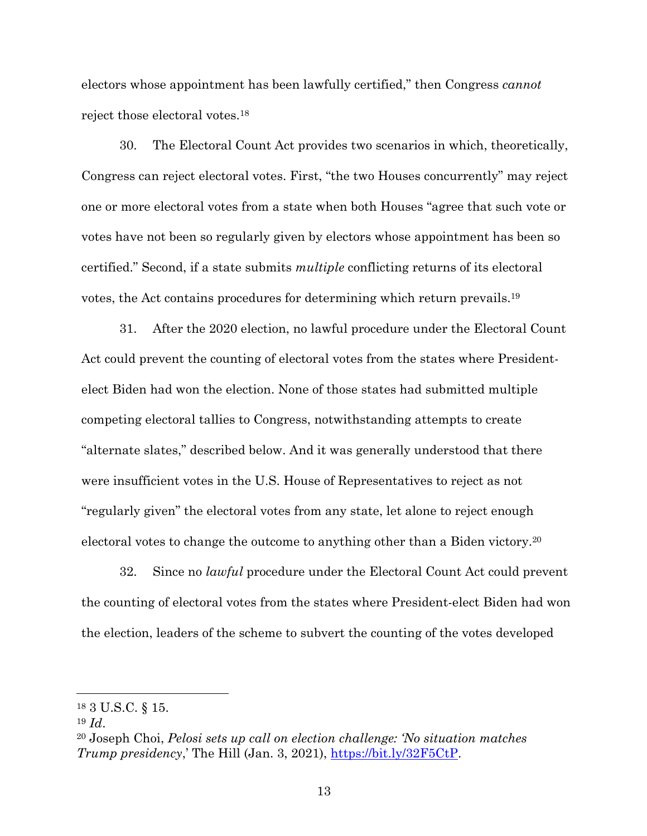electors whose appointment has been lawfully certified," then Congress *cannot* reject those electoral votes.18

30. The Electoral Count Act provides two scenarios in which, theoretically, Congress can reject electoral votes. First, "the two Houses concurrently" may reject one or more electoral votes from a state when both Houses "agree that such vote or votes have not been so regularly given by electors whose appointment has been so certified." Second, if a state submits *multiple* conflicting returns of its electoral votes, the Act contains procedures for determining which return prevails.19

31. After the 2020 election, no lawful procedure under the Electoral Count Act could prevent the counting of electoral votes from the states where Presidentelect Biden had won the election. None of those states had submitted multiple competing electoral tallies to Congress, notwithstanding attempts to create "alternate slates," described below. And it was generally understood that there were insufficient votes in the U.S. House of Representatives to reject as not "regularly given" the electoral votes from any state, let alone to reject enough electoral votes to change the outcome to anything other than a Biden victory.20

32. Since no *lawful* procedure under the Electoral Count Act could prevent the counting of electoral votes from the states where President-elect Biden had won the election, leaders of the scheme to subvert the counting of the votes developed

<sup>18</sup> 3 U.S.C. § 15.

<sup>19</sup> *Id*.

<sup>20</sup> Joseph Choi, *Pelosi sets up call on election challenge: 'No situation matches Trump presidency*,' The Hill (Jan. 3, 2021), https://bit.ly/32F5CtP.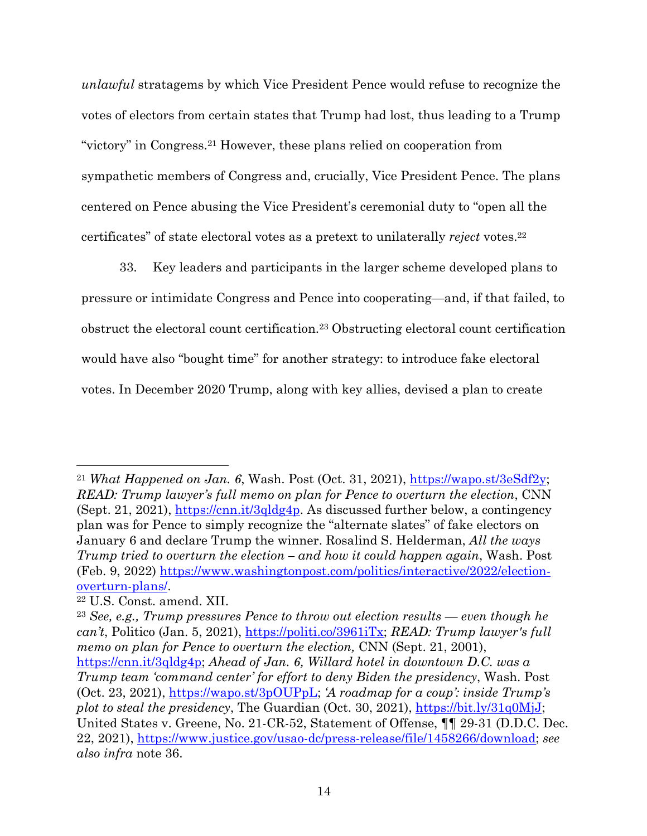*unlawful* stratagems by which Vice President Pence would refuse to recognize the votes of electors from certain states that Trump had lost, thus leading to a Trump "victory" in Congress.21 However, these plans relied on cooperation from sympathetic members of Congress and, crucially, Vice President Pence. The plans centered on Pence abusing the Vice President's ceremonial duty to "open all the certificates" of state electoral votes as a pretext to unilaterally *reject* votes.22

33. Key leaders and participants in the larger scheme developed plans to pressure or intimidate Congress and Pence into cooperating—and, if that failed, to obstruct the electoral count certification.23 Obstructing electoral count certification would have also "bought time" for another strategy: to introduce fake electoral votes. In December 2020 Trump, along with key allies, devised a plan to create

<sup>21</sup> *What Happened on Jan. 6*, Wash. Post (Oct. 31, 2021), https://wapo.st/3eSdf2y; *READ: Trump lawyer's full memo on plan for Pence to overturn the election*, CNN (Sept. 21, 2021), https://cnn.it/3qldg4p. As discussed further below, a contingency plan was for Pence to simply recognize the "alternate slates" of fake electors on January 6 and declare Trump the winner. Rosalind S. Helderman, *All the ways Trump tried to overturn the election – and how it could happen again*, Wash. Post (Feb. 9, 2022) https://www.washingtonpost.com/politics/interactive/2022/electionoverturn-plans/.

<sup>22</sup> U.S. Const. amend. XII.

<sup>23</sup> *See, e.g., Trump pressures Pence to throw out election results — even though he can't*, Politico (Jan. 5, 2021), https://politi.co/3961iTx; *READ: Trump lawyer's full memo on plan for Pence to overturn the election, CNN (Sept. 21, 2001),* https://cnn.it/3qldg4p; *Ahead of Jan. 6, Willard hotel in downtown D.C. was a Trump team 'command center' for effort to deny Biden the presidency*, Wash. Post (Oct. 23, 2021), https://wapo.st/3pOUPpL; *'A roadmap for a coup': inside Trump's plot to steal the presidency*, The Guardian (Oct. 30, 2021), https://bit.ly/31q0MjJ; United States v. Greene, No. 21-CR-52, Statement of Offense, ¶¶ 29-31 (D.D.C. Dec. 22, 2021), https://www.justice.gov/usao-dc/press-release/file/1458266/download; *see also infra* note 36.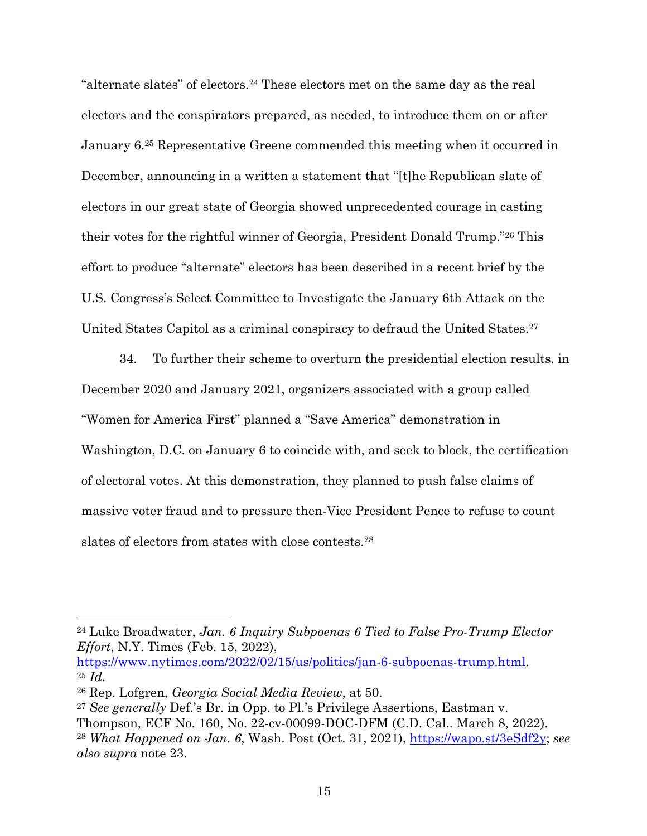"alternate slates" of electors.24 These electors met on the same day as the real electors and the conspirators prepared, as needed, to introduce them on or after January 6.25 Representative Greene commended this meeting when it occurred in December, announcing in a written a statement that "[t]he Republican slate of electors in our great state of Georgia showed unprecedented courage in casting their votes for the rightful winner of Georgia, President Donald Trump."26 This effort to produce "alternate" electors has been described in a recent brief by the U.S. Congress's Select Committee to Investigate the January 6th Attack on the United States Capitol as a criminal conspiracy to defraud the United States.<sup>27</sup>

34. To further their scheme to overturn the presidential election results, in December 2020 and January 2021, organizers associated with a group called "Women for America First" planned a "Save America" demonstration in Washington, D.C. on January 6 to coincide with, and seek to block, the certification of electoral votes. At this demonstration, they planned to push false claims of massive voter fraud and to pressure then-Vice President Pence to refuse to count slates of electors from states with close contests.28

<sup>24</sup> Luke Broadwater, *Jan. 6 Inquiry Subpoenas 6 Tied to False Pro-Trump Elector Effort*, N.Y. Times (Feb. 15, 2022),

https://www.nytimes.com/2022/02/15/us/politics/jan-6-subpoenas-trump.html. 25 *Id.*

<sup>26</sup> Rep. Lofgren, *Georgia Social Media Review*, at 50.

<sup>27</sup> *See generally* Def.'s Br. in Opp. to Pl.'s Privilege Assertions, Eastman v. Thompson, ECF No. 160, No. 22-cv-00099-DOC-DFM (C.D. Cal.. March 8, 2022). <sup>28</sup> *What Happened on Jan. 6*, Wash. Post (Oct. 31, 2021), https://wapo.st/3eSdf2y; *see also supra* note 23.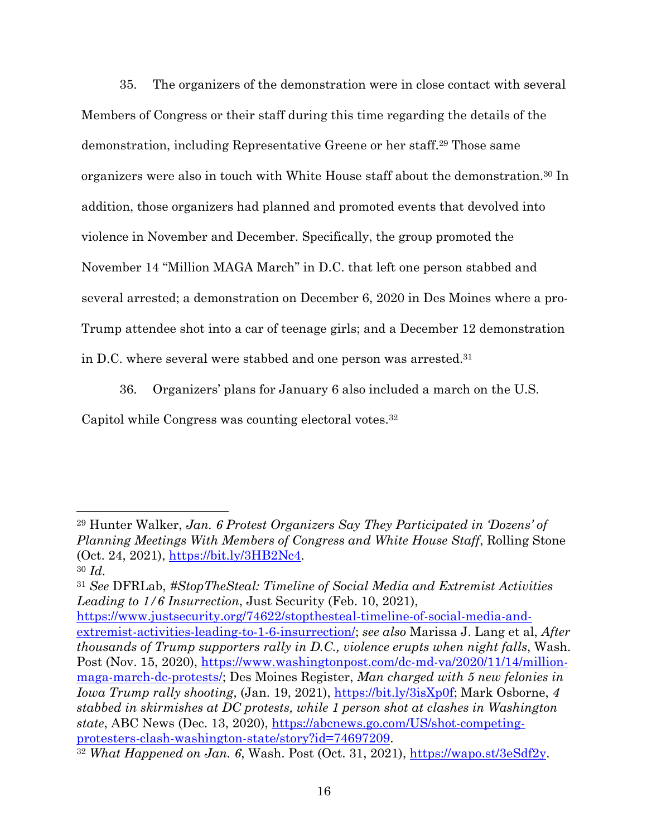35. The organizers of the demonstration were in close contact with several Members of Congress or their staff during this time regarding the details of the demonstration, including Representative Greene or her staff.29 Those same organizers were also in touch with White House staff about the demonstration.<sup>30</sup> In addition, those organizers had planned and promoted events that devolved into violence in November and December. Specifically, the group promoted the November 14 "Million MAGA March" in D.C. that left one person stabbed and several arrested; a demonstration on December 6, 2020 in Des Moines where a pro-Trump attendee shot into a car of teenage girls; and a December 12 demonstration in D.C. where several were stabbed and one person was arrested.31

36. Organizers' plans for January 6 also included a march on the U.S.

Capitol while Congress was counting electoral votes.32

https://www.justsecurity.org/74622/stopthesteal-timeline-of-social-media-andextremist-activities-leading-to-1-6-insurrection/; *see also* Marissa J. Lang et al, *After thousands of Trump supporters rally in D.C., violence erupts when night falls*, Wash. Post (Nov. 15, 2020), https://www.washingtonpost.com/dc-md-va/2020/11/14/millionmaga-march-dc-protests/; Des Moines Register, *Man charged with 5 new felonies in Iowa Trump rally shooting*, (Jan. 19, 2021), https://bit.ly/3isXp0f; Mark Osborne, 4 *stabbed in skirmishes at DC protests, while 1 person shot at clashes in Washington state*, ABC News (Dec. 13, 2020), https://abcnews.go.com/US/shot-competingprotesters-clash-washington-state/story?id=74697209. 32 *What Happened on Jan. 6*, Wash. Post (Oct. 31, 2021), https://wapo.st/3eSdf2y.

<sup>29</sup> Hunter Walker, *Jan. 6 Protest Organizers Say They Participated in 'Dozens' of Planning Meetings With Members of Congress and White House Staff*, Rolling Stone (Oct. 24, 2021), https://bit.ly/3HB2Nc4. 30 *Id.*

<sup>31</sup> *See* DFRLab, *#StopTheSteal: Timeline of Social Media and Extremist Activities Leading to 1/6 Insurrection*, Just Security (Feb. 10, 2021),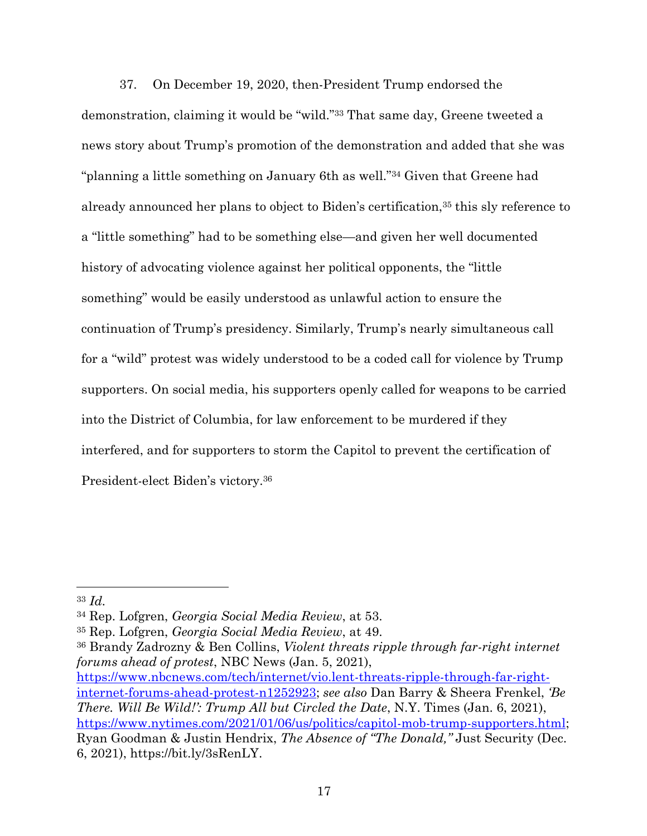37. On December 19, 2020, then-President Trump endorsed the demonstration, claiming it would be "wild."33 That same day, Greene tweeted a news story about Trump's promotion of the demonstration and added that she was "planning a little something on January 6th as well."34 Given that Greene had already announced her plans to object to Biden's certification,<sup>35</sup> this sly reference to a "little something" had to be something else—and given her well documented history of advocating violence against her political opponents, the "little something" would be easily understood as unlawful action to ensure the continuation of Trump's presidency. Similarly, Trump's nearly simultaneous call for a "wild" protest was widely understood to be a coded call for violence by Trump supporters. On social media, his supporters openly called for weapons to be carried into the District of Columbia, for law enforcement to be murdered if they interfered, and for supporters to storm the Capitol to prevent the certification of President-elect Biden's victory.36

<sup>33</sup> *Id.*

<sup>34</sup> Rep. Lofgren, *Georgia Social Media Review*, at 53.

<sup>35</sup> Rep. Lofgren, *Georgia Social Media Review*, at 49.

<sup>36</sup> Brandy Zadrozny & Ben Collins, *Violent threats ripple through far-right internet forums ahead of protest*, NBC News (Jan. 5, 2021), https://www.nbcnews.com/tech/internet/vio.lent-threats-ripple-through-far-right-

internet-forums-ahead-protest-n1252923; *see also* Dan Barry & Sheera Frenkel, *'Be There. Will Be Wild!': Trump All but Circled the Date*, N.Y. Times (Jan. 6, 2021), https://www.nytimes.com/2021/01/06/us/politics/capitol-mob-trump-supporters.html; Ryan Goodman & Justin Hendrix, *The Absence of "The Donald,"* Just Security (Dec. 6, 2021), https://bit.ly/3sRenLY.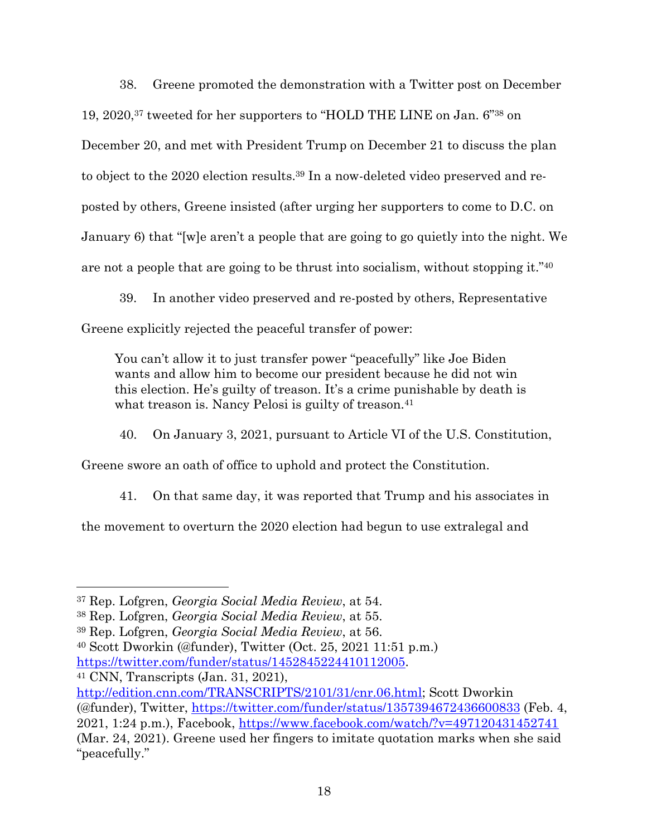38. Greene promoted the demonstration with a Twitter post on December 19, 2020,37 tweeted for her supporters to "HOLD THE LINE on Jan. 6"38 on December 20, and met with President Trump on December 21 to discuss the plan to object to the 2020 election results.39 In a now-deleted video preserved and reposted by others, Greene insisted (after urging her supporters to come to D.C. on January 6) that "[w]e aren't a people that are going to go quietly into the night. We are not a people that are going to be thrust into socialism, without stopping it." $40^{\circ}$ 

39. In another video preserved and re-posted by others, Representative Greene explicitly rejected the peaceful transfer of power:

You can't allow it to just transfer power "peacefully" like Joe Biden wants and allow him to become our president because he did not win this election. He's guilty of treason. It's a crime punishable by death is what treason is. Nancy Pelosi is guilty of treason.<sup>41</sup>

40. On January 3, 2021, pursuant to Article VI of the U.S. Constitution,

Greene swore an oath of office to uphold and protect the Constitution.

41. On that same day, it was reported that Trump and his associates in

the movement to overturn the 2020 election had begun to use extralegal and

<sup>40</sup> Scott Dworkin (@funder), Twitter (Oct. 25, 2021 11:51 p.m.) https://twitter.com/funder/status/1452845224410112005. 41 CNN, Transcripts (Jan. 31, 2021),

<sup>37</sup> Rep. Lofgren, *Georgia Social Media Review*, at 54.

<sup>38</sup> Rep. Lofgren, *Georgia Social Media Review*, at 55.

<sup>39</sup> Rep. Lofgren, *Georgia Social Media Review*, at 56.

http://edition.cnn.com/TRANSCRIPTS/2101/31/cnr.06.html; Scott Dworkin (@funder), Twitter, https://twitter.com/funder/status/1357394672436600833 (Feb. 4, 2021, 1:24 p.m.), Facebook, https://www.facebook.com/watch/?v=497120431452741 (Mar. 24, 2021). Greene used her fingers to imitate quotation marks when she said "peacefully."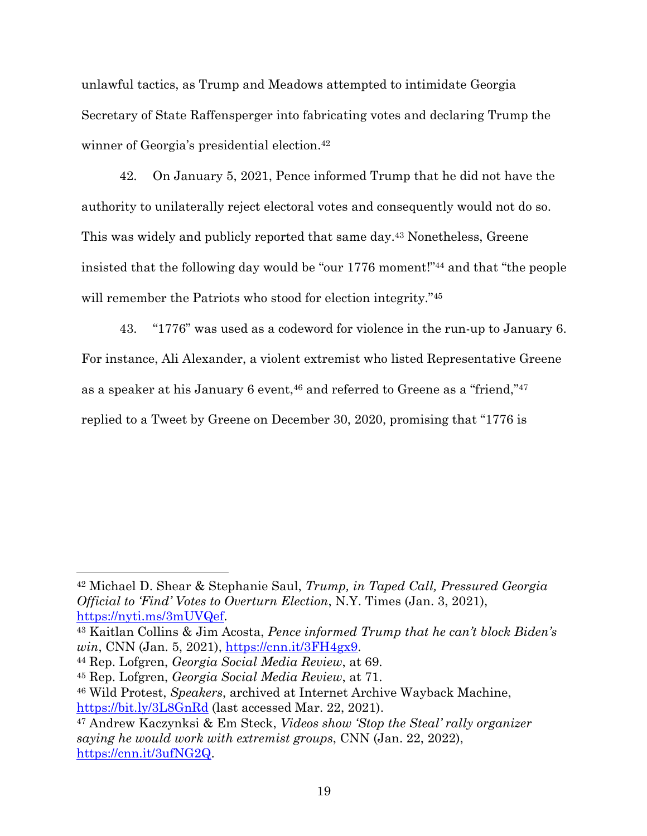unlawful tactics, as Trump and Meadows attempted to intimidate Georgia Secretary of State Raffensperger into fabricating votes and declaring Trump the winner of Georgia's presidential election.<sup>42</sup>

42. On January 5, 2021, Pence informed Trump that he did not have the authority to unilaterally reject electoral votes and consequently would not do so. This was widely and publicly reported that same day.<sup>43</sup> Nonetheless, Greene insisted that the following day would be "our 1776 moment!"44 and that "the people will remember the Patriots who stood for election integrity."<sup>45</sup>

43. "1776" was used as a codeword for violence in the run-up to January 6. For instance, Ali Alexander, a violent extremist who listed Representative Greene as a speaker at his January 6 event,<sup>46</sup> and referred to Greene as a "friend,"<sup>47</sup> replied to a Tweet by Greene on December 30, 2020, promising that "1776 is

<sup>42</sup> Michael D. Shear & Stephanie Saul, *Trump, in Taped Call, Pressured Georgia Official to 'Find' Votes to Overturn Election*, N.Y. Times (Jan. 3, 2021), https://nyti.ms/3mUVQef. 43 Kaitlan Collins & Jim Acosta, *Pence informed Trump that he can't block Biden's* 

*win*, CNN (Jan. 5, 2021), https://cnn.it/3FH4gx9.

<sup>44</sup> Rep. Lofgren, *Georgia Social Media Review*, at 69.

<sup>45</sup> Rep. Lofgren, *Georgia Social Media Review*, at 71.

<sup>46</sup> Wild Protest, *Speakers*, archived at Internet Archive Wayback Machine, https://bit.ly/3L8GnRd (last accessed Mar. 22, 2021).

<sup>47</sup> Andrew Kaczynksi & Em Steck, *Videos show 'Stop the Steal' rally organizer saying he would work with extremist groups*, CNN (Jan. 22, 2022), https://cnn.it/3ufNG2Q.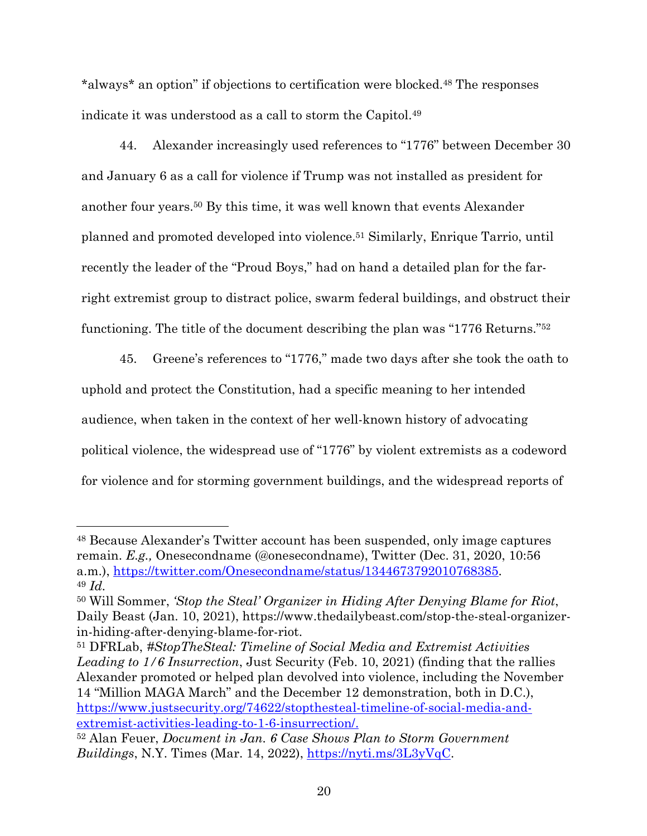\*always\* an option" if objections to certification were blocked.48 The responses indicate it was understood as a call to storm the Capitol.49

44. Alexander increasingly used references to "1776" between December 30 and January 6 as a call for violence if Trump was not installed as president for another four years.50 By this time, it was well known that events Alexander planned and promoted developed into violence.51 Similarly, Enrique Tarrio, until recently the leader of the "Proud Boys," had on hand a detailed plan for the farright extremist group to distract police, swarm federal buildings, and obstruct their functioning. The title of the document describing the plan was "1776 Returns."52

45. Greene's references to "1776," made two days after she took the oath to uphold and protect the Constitution, had a specific meaning to her intended audience, when taken in the context of her well-known history of advocating political violence, the widespread use of "1776" by violent extremists as a codeword for violence and for storming government buildings, and the widespread reports of

<sup>48</sup> Because Alexander's Twitter account has been suspended, only image captures remain. *E.g.,* Onesecondname (@onesecondname), Twitter (Dec. 31, 2020, 10:56 a.m.), https://twitter.com/Onesecondname/status/1344673792010768385. 49 *Id.*

<sup>50</sup> Will Sommer, *'Stop the Steal' Organizer in Hiding After Denying Blame for Riot*, Daily Beast (Jan. 10, 2021), https://www.thedailybeast.com/stop-the-steal-organizer-

in-hiding-after-denying-blame-for-riot. 51 DFRLab, *#StopTheSteal: Timeline of Social Media and Extremist Activities Leading to 1/6 Insurrection*, Just Security (Feb. 10, 2021) (finding that the rallies Alexander promoted or helped plan devolved into violence, including the November 14 "Million MAGA March" and the December 12 demonstration, both in D.C.), https://www.justsecurity.org/74622/stopthesteal-timeline-of-social-media-andextremist-activities-leading-to-1-6-insurrection/. 52 Alan Feuer, *Document in Jan. 6 Case Shows Plan to Storm Government* 

 $Buildings$ , N.Y. Times (Mar. 14, 2022),  $\frac{https://nyti.ms/3L3yVqC}{}$ .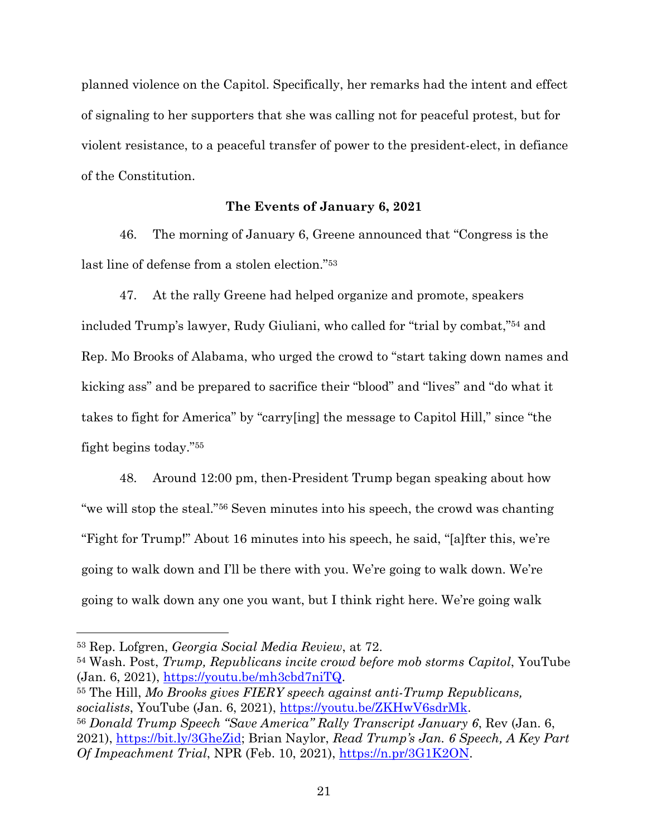planned violence on the Capitol. Specifically, her remarks had the intent and effect of signaling to her supporters that she was calling not for peaceful protest, but for violent resistance, to a peaceful transfer of power to the president-elect, in defiance of the Constitution.

#### **The Events of January 6, 2021**

46. The morning of January 6, Greene announced that "Congress is the last line of defense from a stolen election."53

47. At the rally Greene had helped organize and promote, speakers included Trump's lawyer, Rudy Giuliani, who called for "trial by combat,"54 and Rep. Mo Brooks of Alabama, who urged the crowd to "start taking down names and kicking ass" and be prepared to sacrifice their "blood" and "lives" and "do what it takes to fight for America" by "carry[ing] the message to Capitol Hill," since "the fight begins today."55

48. Around 12:00 pm, then-President Trump began speaking about how "we will stop the steal."56 Seven minutes into his speech, the crowd was chanting "Fight for Trump!" About 16 minutes into his speech, he said, "[a]fter this, we're going to walk down and I'll be there with you. We're going to walk down. We're going to walk down any one you want, but I think right here. We're going walk

<sup>54</sup> Wash. Post, *Trump, Republicans incite crowd before mob storms Capitol*, YouTube  $(Jan. 6, 2021), \frac{https://youtu.be/mh3cbd7niTQ}.$ 

<sup>55</sup> The Hill, *Mo Brooks gives FIERY speech against anti-Trump Republicans, socialists*, YouTube (Jan. 6, 2021), https://youtu.be/ZKHwV6sdrMk. <sup>56</sup> *Donald Trump Speech "Save America" Rally Transcript January 6*, Rev (Jan. 6, 2021), https://bit.ly/3GheZid; Brian Naylor, *Read Trump's Jan. 6 Speech, A Key Part Of Impeachment Trial*, NPR (Feb. 10, 2021), https://n.pr/3G1K2ON.

<sup>53</sup> Rep. Lofgren, *Georgia Social Media Review*, at 72.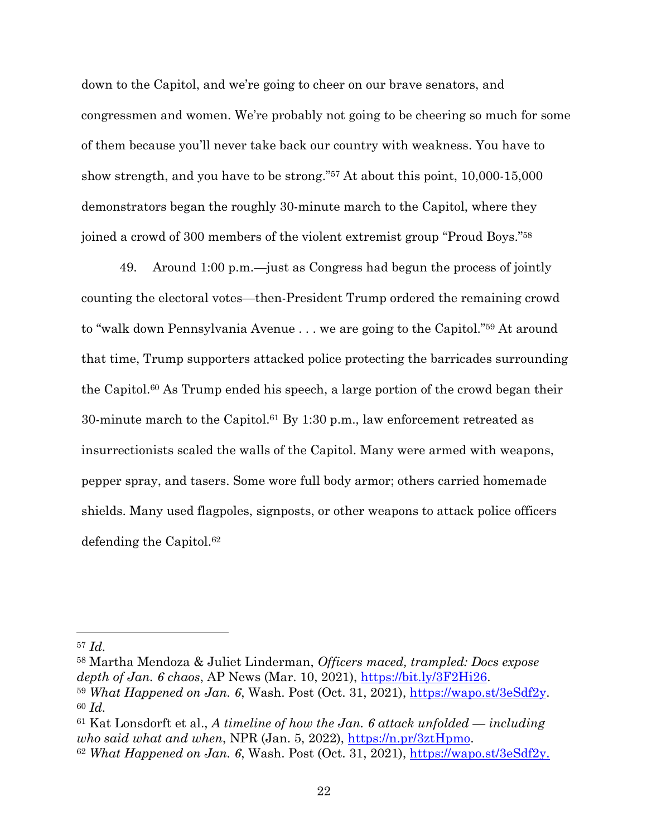down to the Capitol, and we're going to cheer on our brave senators, and congressmen and women. We're probably not going to be cheering so much for some of them because you'll never take back our country with weakness. You have to show strength, and you have to be strong."57 At about this point, 10,000-15,000 demonstrators began the roughly 30-minute march to the Capitol, where they joined a crowd of 300 members of the violent extremist group "Proud Boys."58

49. Around 1:00 p.m.—just as Congress had begun the process of jointly counting the electoral votes—then-President Trump ordered the remaining crowd to "walk down Pennsylvania Avenue . . . we are going to the Capitol."59 At around that time, Trump supporters attacked police protecting the barricades surrounding the Capitol.60 As Trump ended his speech, a large portion of the crowd began their 30-minute march to the Capitol.61 By 1:30 p.m., law enforcement retreated as insurrectionists scaled the walls of the Capitol. Many were armed with weapons, pepper spray, and tasers. Some wore full body armor; others carried homemade shields. Many used flagpoles, signposts, or other weapons to attack police officers defending the Capitol.<sup>62</sup>

<sup>58</sup> Martha Mendoza & Juliet Linderman, *Officers maced, trampled: Docs expose depth of Jan. 6 chaos*, AP News (Mar. 10, 2021), https://bit.ly/3F2Hi26. 59 *What Happened on Jan. 6*, Wash. Post (Oct. 31, 2021), https://wapo.st/3eSdf2y. <sup>60</sup> *Id.*

<sup>57</sup> *Id.*

<sup>61</sup> Kat Lonsdorft et al., *A timeline of how the Jan. 6 attack unfolded — including who said what and when*, NPR (Jan. 5, 2022), <u>https://n.pr/3ztHpmo</u>.<br><sup>62</sup> *What Happened on Jan. 6*, Wash. Post (Oct. 31, 2021), https://wapo.st/3eSdf2y.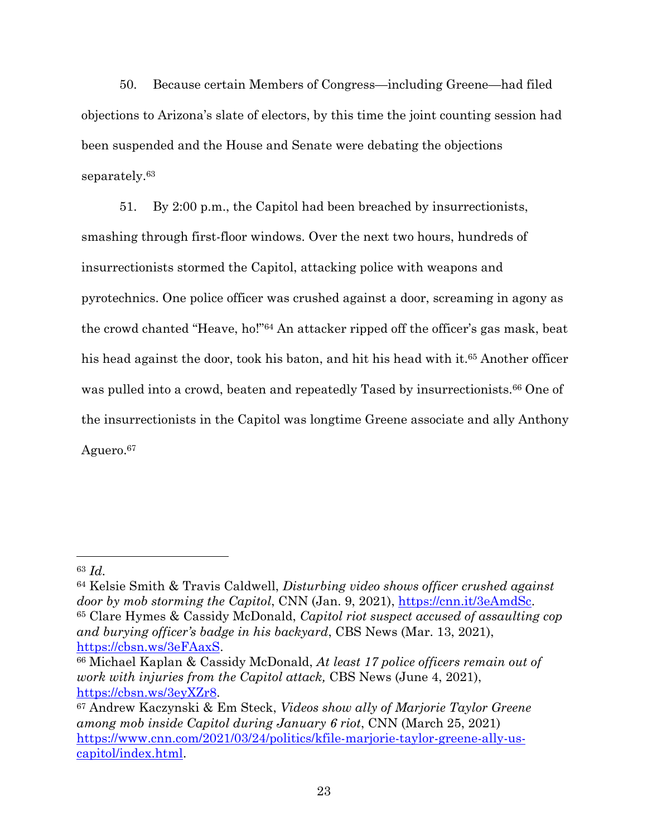50. Because certain Members of Congress—including Greene—had filed objections to Arizona's slate of electors, by this time the joint counting session had been suspended and the House and Senate were debating the objections separately.63

51. By 2:00 p.m., the Capitol had been breached by insurrectionists, smashing through first-floor windows. Over the next two hours, hundreds of insurrectionists stormed the Capitol, attacking police with weapons and pyrotechnics. One police officer was crushed against a door, screaming in agony as the crowd chanted "Heave, ho!"64 An attacker ripped off the officer's gas mask, beat his head against the door, took his baton, and hit his head with it.<sup>65</sup> Another officer was pulled into a crowd, beaten and repeatedly Tased by insurrectionists.<sup>66</sup> One of the insurrectionists in the Capitol was longtime Greene associate and ally Anthony Aguero.67

<sup>63</sup> *Id.*

<sup>64</sup> Kelsie Smith & Travis Caldwell, *Disturbing video shows officer crushed against door by mob storming the Capitol*, CNN (Jan. 9, 2021), https://cnn.it/3eAmdSc. <sup>65</sup> Clare Hymes & Cassidy McDonald, *Capitol riot suspect accused of assaulting cop and burying officer's badge in his backyard*, CBS News (Mar. 13, 2021),

https://cbsn.ws/3eFAaxS. 66 Michael Kaplan & Cassidy McDonald, *At least 17 police officers remain out of work with injuries from the Capitol attack,* CBS News (June 4, 2021), https://cbsn.ws/3eyXZr8.

<sup>67</sup> Andrew Kaczynski & Em Steck, *Videos show ally of Marjorie Taylor Greene among mob inside Capitol during January 6 riot*, CNN (March 25, 2021) https://www.cnn.com/2021/03/24/politics/kfile-marjorie-taylor-greene-ally-uscapitol/index.html.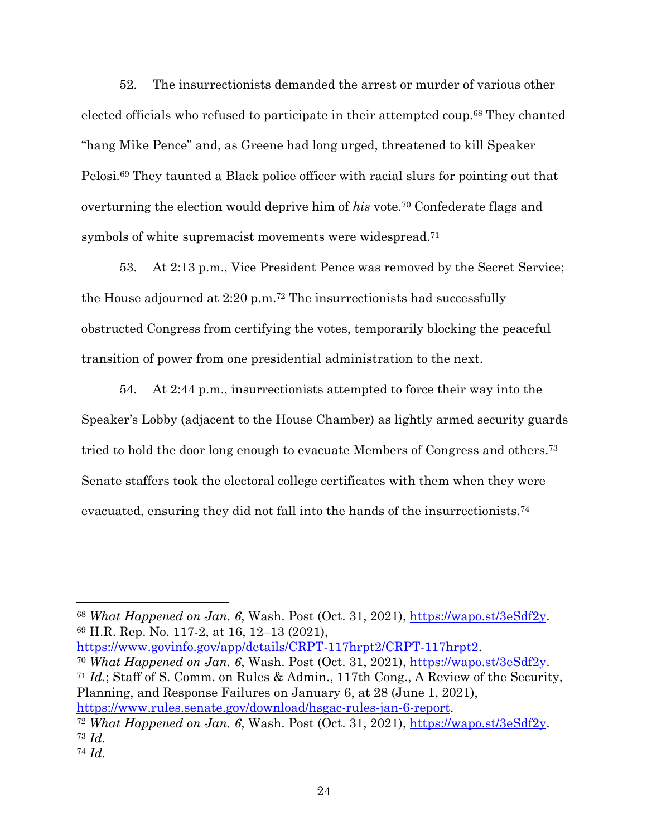52. The insurrectionists demanded the arrest or murder of various other elected officials who refused to participate in their attempted coup.68 They chanted "hang Mike Pence" and, as Greene had long urged, threatened to kill Speaker Pelosi.69 They taunted a Black police officer with racial slurs for pointing out that overturning the election would deprive him of *his* vote.70 Confederate flags and symbols of white supremacist movements were widespread.<sup>71</sup>

53. At 2:13 p.m., Vice President Pence was removed by the Secret Service; the House adjourned at 2:20 p.m.72 The insurrectionists had successfully obstructed Congress from certifying the votes, temporarily blocking the peaceful transition of power from one presidential administration to the next.

54. At 2:44 p.m., insurrectionists attempted to force their way into the Speaker's Lobby (adjacent to the House Chamber) as lightly armed security guards tried to hold the door long enough to evacuate Members of Congress and others.73 Senate staffers took the electoral college certificates with them when they were evacuated, ensuring they did not fall into the hands of the insurrectionists.74

<sup>68</sup> *What Happened on Jan. 6*, Wash. Post (Oct. 31, 2021), https://wapo.st/3eSdf2y. <sup>69</sup> H.R. Rep. No. 117-2, at 16, 12–13 (2021),

https://www.govinfo.gov/app/details/CRPT-117hrpt2/CRPT-117hrpt2. 70 *What Happened on Jan. 6*, Wash. Post (Oct. 31, 2021), https://wapo.st/3eSdf2y.

<sup>71</sup> *Id.*; Staff of S. Comm. on Rules & Admin., 117th Cong., A Review of the Security, Planning, and Response Failures on January 6, at 28 (June 1, 2021), https://www.rules.senate.gov/download/hsgac-rules-jan-6-report.

<sup>72</sup> *What Happened on Jan. 6*, Wash. Post (Oct. 31, 2021), https://wapo.st/3eSdf2y. <sup>73</sup> *Id.*

<sup>74</sup> *Id.*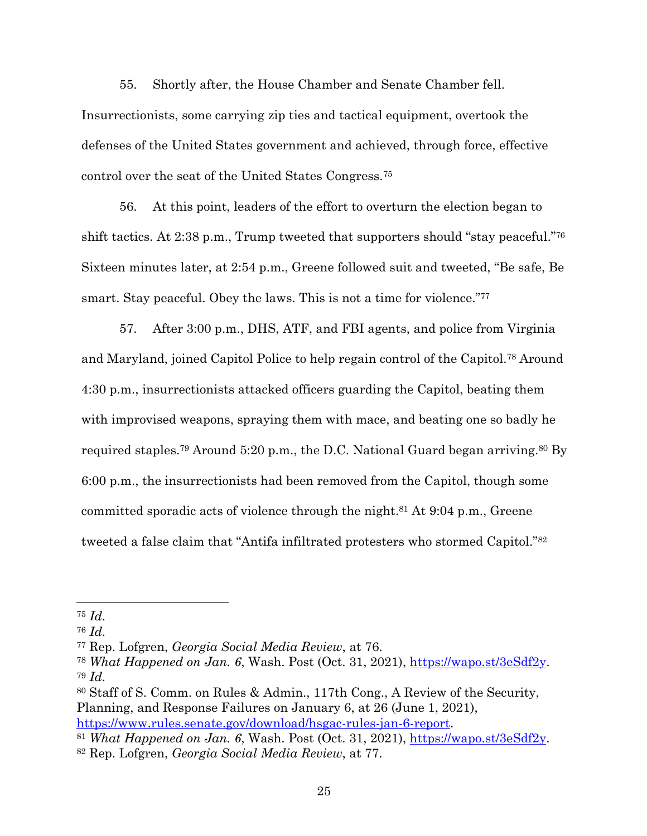55. Shortly after, the House Chamber and Senate Chamber fell. Insurrectionists, some carrying zip ties and tactical equipment, overtook the defenses of the United States government and achieved, through force, effective control over the seat of the United States Congress.75

56. At this point, leaders of the effort to overturn the election began to shift tactics. At 2:38 p.m., Trump tweeted that supporters should "stay peaceful."76 Sixteen minutes later, at 2:54 p.m., Greene followed suit and tweeted, "Be safe, Be smart. Stay peaceful. Obey the laws. This is not a time for violence."<sup>77</sup>

57. After 3:00 p.m., DHS, ATF, and FBI agents, and police from Virginia and Maryland, joined Capitol Police to help regain control of the Capitol.78 Around 4:30 p.m., insurrectionists attacked officers guarding the Capitol, beating them with improvised weapons, spraying them with mace, and beating one so badly he required staples.<sup>79</sup> Around 5:20 p.m., the D.C. National Guard began arriving.<sup>80</sup> By 6:00 p.m., the insurrectionists had been removed from the Capitol, though some committed sporadic acts of violence through the night.81 At 9:04 p.m., Greene tweeted a false claim that "Antifa infiltrated protesters who stormed Capitol."82

<sup>75</sup> *Id.*

<sup>76</sup> *Id.*

<sup>77</sup> Rep. Lofgren, *Georgia Social Media Review*, at 76.

<sup>78</sup> *What Happened on Jan. 6*, Wash. Post (Oct. 31, 2021), https://wapo.st/3eSdf2y. <sup>79</sup> *Id.*

<sup>80</sup> Staff of S. Comm. on Rules & Admin., 117th Cong., A Review of the Security, Planning, and Response Failures on January 6, at 26 (June 1, 2021),

https://www.rules.senate.gov/download/hsgac-rules-jan-6-report. 81 *What Happened on Jan. 6*, Wash. Post (Oct. 31, 2021), https://wapo.st/3eSdf2y. <sup>82</sup> Rep. Lofgren, *Georgia Social Media Review*, at 77.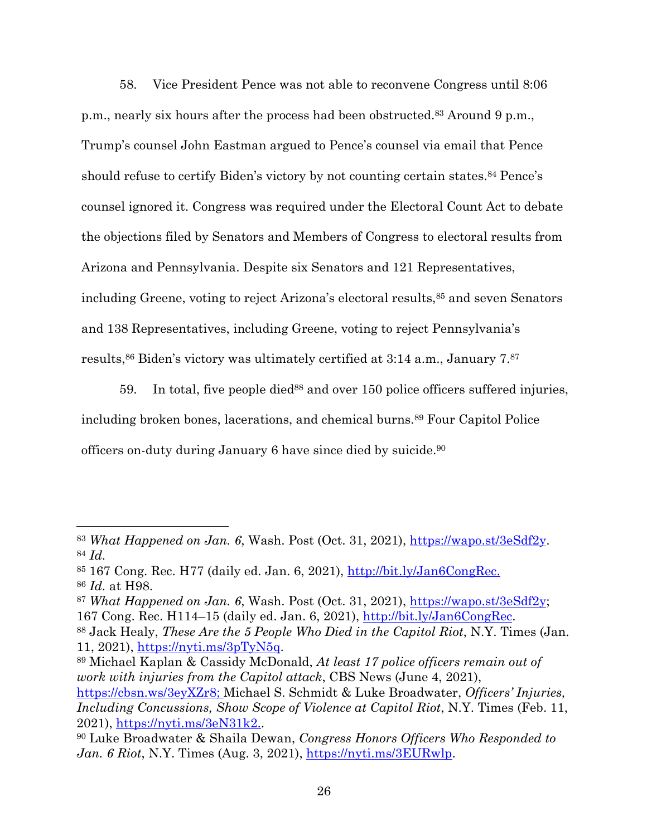58. Vice President Pence was not able to reconvene Congress until 8:06 p.m., nearly six hours after the process had been obstructed.83 Around 9 p.m., Trump's counsel John Eastman argued to Pence's counsel via email that Pence should refuse to certify Biden's victory by not counting certain states.<sup>84</sup> Pence's counsel ignored it. Congress was required under the Electoral Count Act to debate the objections filed by Senators and Members of Congress to electoral results from Arizona and Pennsylvania. Despite six Senators and 121 Representatives, including Greene, voting to reject Arizona's electoral results,<sup>85</sup> and seven Senators and 138 Representatives, including Greene, voting to reject Pennsylvania's results,<sup>86</sup> Biden's victory was ultimately certified at 3:14 a.m., January 7.87

59. In total, five people died<sup>88</sup> and over 150 police officers suffered injuries, including broken bones, lacerations, and chemical burns.89 Four Capitol Police officers on-duty during January 6 have since died by suicide.90

*work with injuries from the Capitol attack*, CBS News (June 4, 2021), https://cbsn.ws/3eyXZr8; Michael S. Schmidt & Luke Broadwater, *Officers' Injuries, Including Concussions, Show Scope of Violence at Capitol Riot, N.Y. Times (Feb. 11,* 

<sup>83</sup> *What Happened on Jan. 6*, Wash. Post (Oct. 31, 2021), https://wapo.st/3eSdf2y. <sup>84</sup> *Id.*

 $85$  167 Cong. Rec. H77 (daily ed. Jan. 6, 2021),  $\frac{\text{http://bit.ly/Jan6CongRec.}}{\text{http://bit.ly/Jan6CongRec.}}$ <sup>86</sup> *Id.* at H98.

<sup>87</sup> *What Happened on Jan. 6*, Wash. Post (Oct. 31, 2021), https://wapo.st/3eSdf2y; 167 Cong. Rec. H114–15 (daily ed. Jan. 6, 2021), http://bit.ly/Jan6CongRec. 88 Jack Healy, *These Are the 5 People Who Died in the Capitol Riot*, N.Y. Times (Jan.

<sup>11, 2021),</sup> https://nyti.ms/3pTyN5q. 89 Michael Kaplan & Cassidy McDonald, *At least 17 police officers remain out of* 

<sup>2021),</sup> https://nyti.ms/3eN31k2.. 90 Luke Broadwater & Shaila Dewan, *Congress Honors Officers Who Responded to Jan. 6 Riot*, N.Y. Times (Aug. 3, 2021), https://nyti.ms/3EURwlp.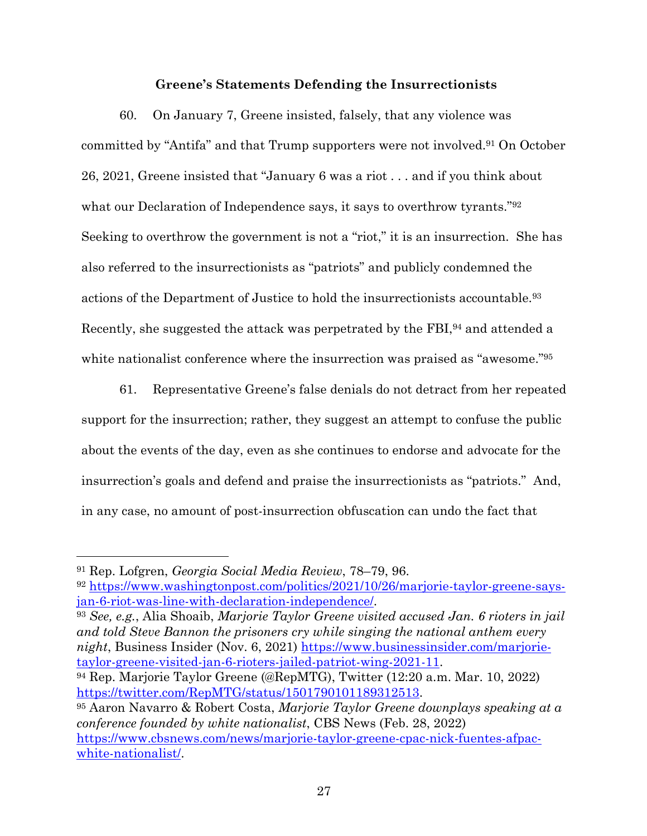## **Greene's Statements Defending the Insurrectionists**

60. On January 7, Greene insisted, falsely, that any violence was committed by "Antifa" and that Trump supporters were not involved.91 On October 26, 2021, Greene insisted that "January 6 was a riot . . . and if you think about what our Declaration of Independence says, it says to overthrow tyrants."92 Seeking to overthrow the government is not a "riot," it is an insurrection. She has also referred to the insurrectionists as "patriots" and publicly condemned the actions of the Department of Justice to hold the insurrectionists accountable.93 Recently, she suggested the attack was perpetrated by the FBI, <sup>94</sup> and attended a white nationalist conference where the insurrection was praised as "awesome."<sup>95</sup>

61. Representative Greene's false denials do not detract from her repeated support for the insurrection; rather, they suggest an attempt to confuse the public about the events of the day, even as she continues to endorse and advocate for the insurrection's goals and defend and praise the insurrectionists as "patriots." And, in any case, no amount of post-insurrection obfuscation can undo the fact that

<sup>91</sup> Rep. Lofgren, *Georgia Social Media Review*, 78–79, 96.

<sup>92</sup> https://www.washingtonpost.com/politics/2021/10/26/marjorie-taylor-greene-saysjan-6-riot-was-line-with-declaration-independence/. 93 *See, e.g.*, Alia Shoaib, *Marjorie Taylor Greene visited accused Jan. 6 rioters in jail* 

*and told Steve Bannon the prisoners cry while singing the national anthem every night*, Business Insider (Nov. 6, 2021) https://www.businessinsider.com/marjorietaylor-greene-visited-jan-6-rioters-jailed-patriot-wing-2021-11. 94 Rep. Marjorie Taylor Greene (@RepMTG), Twitter (12:20 a.m. Mar. 10, 2022)

https://twitter.com/RepMTG/status/1501790101189312513. 95 Aaron Navarro & Robert Costa, *Marjorie Taylor Greene downplays speaking at a* 

*conference founded by white nationalist*, CBS News (Feb. 28, 2022) https://www.cbsnews.com/news/marjorie-taylor-greene-cpac-nick-fuentes-afpacwhite-nationalist/.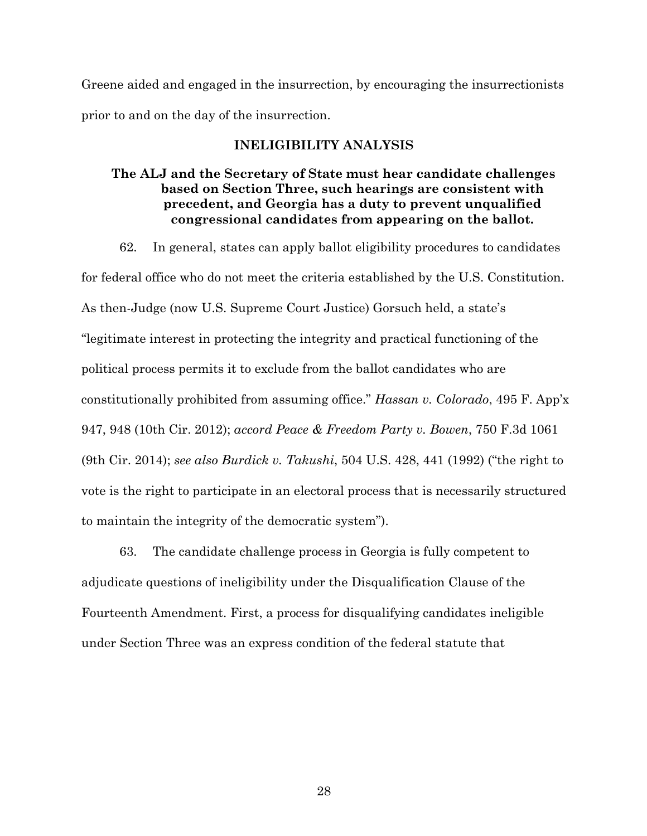Greene aided and engaged in the insurrection, by encouraging the insurrectionists prior to and on the day of the insurrection.

## **INELIGIBILITY ANALYSIS**

# **The ALJ and the Secretary of State must hear candidate challenges based on Section Three, such hearings are consistent with precedent, and Georgia has a duty to prevent unqualified congressional candidates from appearing on the ballot.**

62. In general, states can apply ballot eligibility procedures to candidates for federal office who do not meet the criteria established by the U.S. Constitution. As then-Judge (now U.S. Supreme Court Justice) Gorsuch held, a state's "legitimate interest in protecting the integrity and practical functioning of the political process permits it to exclude from the ballot candidates who are constitutionally prohibited from assuming office." *Hassan v. Colorado*, 495 F. App'x 947, 948 (10th Cir. 2012); *accord Peace & Freedom Party v. Bowen*, 750 F.3d 1061 (9th Cir. 2014); *see also Burdick v. Takushi*, 504 U.S. 428, 441 (1992) ("the right to vote is the right to participate in an electoral process that is necessarily structured to maintain the integrity of the democratic system").

63. The candidate challenge process in Georgia is fully competent to adjudicate questions of ineligibility under the Disqualification Clause of the Fourteenth Amendment. First, a process for disqualifying candidates ineligible under Section Three was an express condition of the federal statute that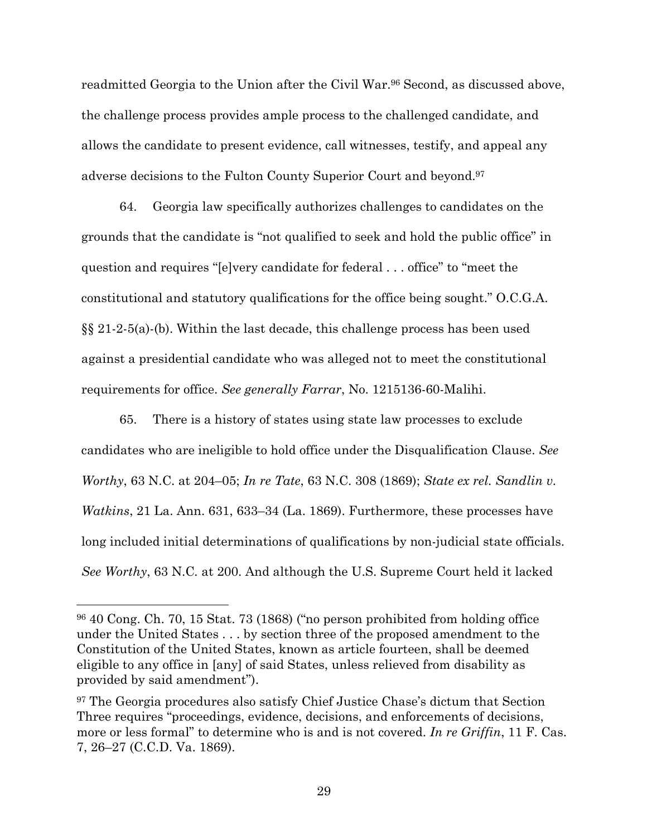readmitted Georgia to the Union after the Civil War.<sup>96</sup> Second, as discussed above, the challenge process provides ample process to the challenged candidate, and allows the candidate to present evidence, call witnesses, testify, and appeal any adverse decisions to the Fulton County Superior Court and beyond.97

64. Georgia law specifically authorizes challenges to candidates on the grounds that the candidate is "not qualified to seek and hold the public office" in question and requires "[e]very candidate for federal . . . office" to "meet the constitutional and statutory qualifications for the office being sought." O.C.G.A. §§ 21-2-5(a)-(b). Within the last decade, this challenge process has been used against a presidential candidate who was alleged not to meet the constitutional requirements for office. *See generally Farrar*, No. 1215136-60-Malihi.

65. There is a history of states using state law processes to exclude candidates who are ineligible to hold office under the Disqualification Clause. *See Worthy*, 63 N.C. at 204–05; *In re Tate*, 63 N.C. 308 (1869); *State ex rel. Sandlin v. Watkins*, 21 La. Ann. 631, 633–34 (La. 1869). Furthermore, these processes have long included initial determinations of qualifications by non-judicial state officials. *See Worthy*, 63 N.C*.* at 200. And although the U.S. Supreme Court held it lacked

<sup>96</sup> 40 Cong. Ch. 70, 15 Stat. 73 (1868) ("no person prohibited from holding office under the United States . . . by section three of the proposed amendment to the Constitution of the United States, known as article fourteen, shall be deemed eligible to any office in [any] of said States, unless relieved from disability as provided by said amendment").

<sup>97</sup> The Georgia procedures also satisfy Chief Justice Chase's dictum that Section Three requires "proceedings, evidence, decisions, and enforcements of decisions, more or less formal" to determine who is and is not covered. *In re Griffin*, 11 F. Cas. 7, 26–27 (C.C.D. Va. 1869).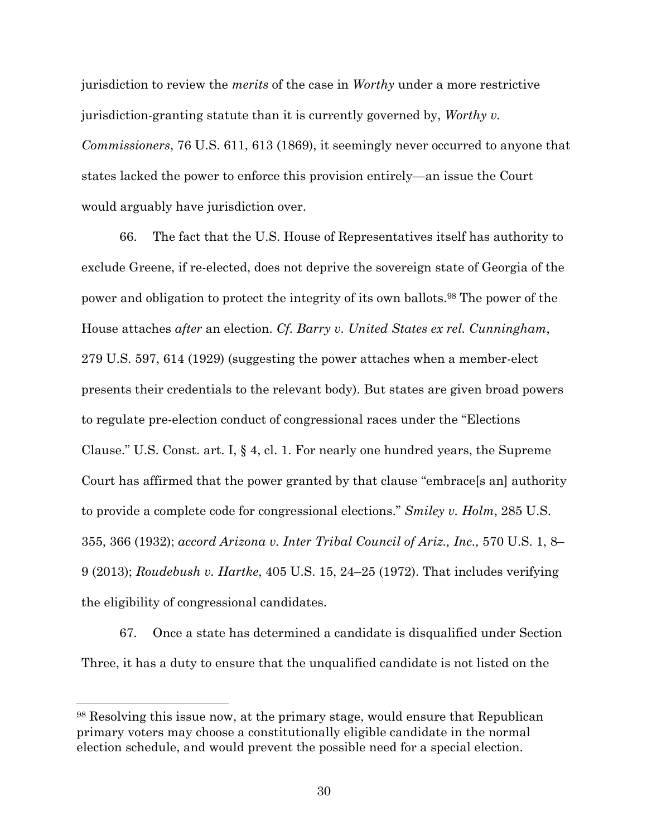jurisdiction to review the *merits* of the case in *Worthy* under a more restrictive jurisdiction-granting statute than it is currently governed by, *Worthy v. Commissioners*, 76 U.S. 611, 613 (1869), it seemingly never occurred to anyone that states lacked the power to enforce this provision entirely—an issue the Court would arguably have jurisdiction over.

66. The fact that the U.S. House of Representatives itself has authority to exclude Greene, if re-elected, does not deprive the sovereign state of Georgia of the power and obligation to protect the integrity of its own ballots.98 The power of the House attaches *after* an election. *Cf. Barry v. United States ex rel. Cunningham*, 279 U.S. 597, 614 (1929) (suggesting the power attaches when a member-elect presents their credentials to the relevant body). But states are given broad powers to regulate pre-election conduct of congressional races under the "Elections Clause." U.S. Const. art. I, § 4, cl. 1. For nearly one hundred years, the Supreme Court has affirmed that the power granted by that clause "embrace[s an] authority to provide a complete code for congressional elections." *Smiley v. Holm*, 285 U.S. 355, 366 (1932); *accord Arizona v. Inter Tribal Council of Ariz., Inc.,* 570 U.S. 1, 8– 9 (2013); *Roudebush v. Hartke*, 405 U.S. 15, 24–25 (1972). That includes verifying the eligibility of congressional candidates.

67. Once a state has determined a candidate is disqualified under Section Three, it has a duty to ensure that the unqualified candidate is not listed on the

<sup>98</sup> Resolving this issue now, at the primary stage, would ensure that Republican primary voters may choose a constitutionally eligible candidate in the normal election schedule, and would prevent the possible need for a special election.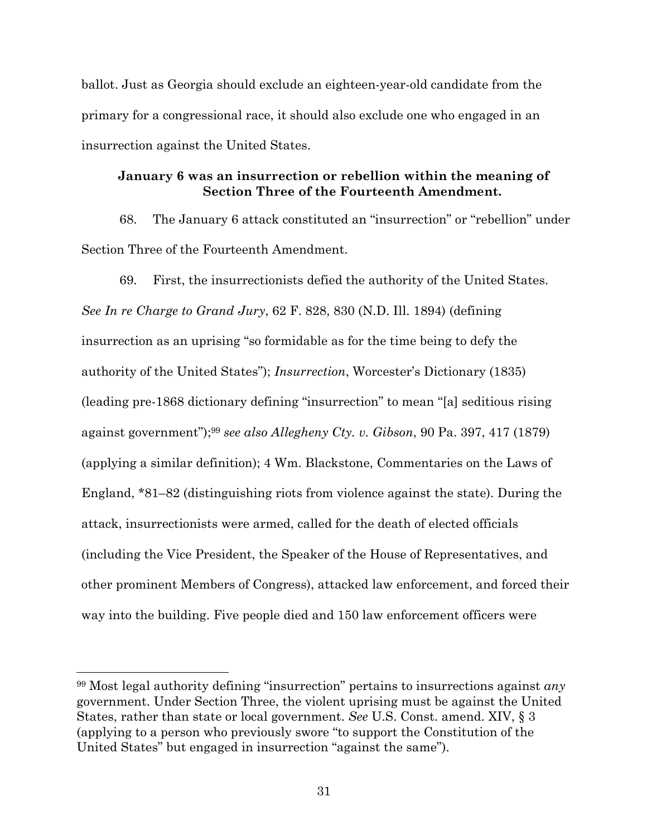ballot. Just as Georgia should exclude an eighteen-year-old candidate from the primary for a congressional race, it should also exclude one who engaged in an insurrection against the United States.

# **January 6 was an insurrection or rebellion within the meaning of Section Three of the Fourteenth Amendment.**

68. The January 6 attack constituted an "insurrection" or "rebellion" under Section Three of the Fourteenth Amendment.

69. First, the insurrectionists defied the authority of the United States. *See In re Charge to Grand Jury*, 62 F. 828, 830 (N.D. Ill. 1894) (defining insurrection as an uprising "so formidable as for the time being to defy the authority of the United States"); *Insurrection*, Worcester's Dictionary (1835) (leading pre-1868 dictionary defining "insurrection" to mean "[a] seditious rising against government");99 *see also Allegheny Cty. v. Gibson*, 90 Pa. 397, 417 (1879) (applying a similar definition); 4 Wm. Blackstone, Commentaries on the Laws of England, \*81–82 (distinguishing riots from violence against the state). During the attack, insurrectionists were armed, called for the death of elected officials (including the Vice President, the Speaker of the House of Representatives, and other prominent Members of Congress), attacked law enforcement, and forced their way into the building. Five people died and 150 law enforcement officers were

<sup>99</sup> Most legal authority defining "insurrection" pertains to insurrections against *any* government. Under Section Three, the violent uprising must be against the United States, rather than state or local government. *See* U.S. Const. amend. XIV, § 3 (applying to a person who previously swore "to support the Constitution of the United States" but engaged in insurrection "against the same").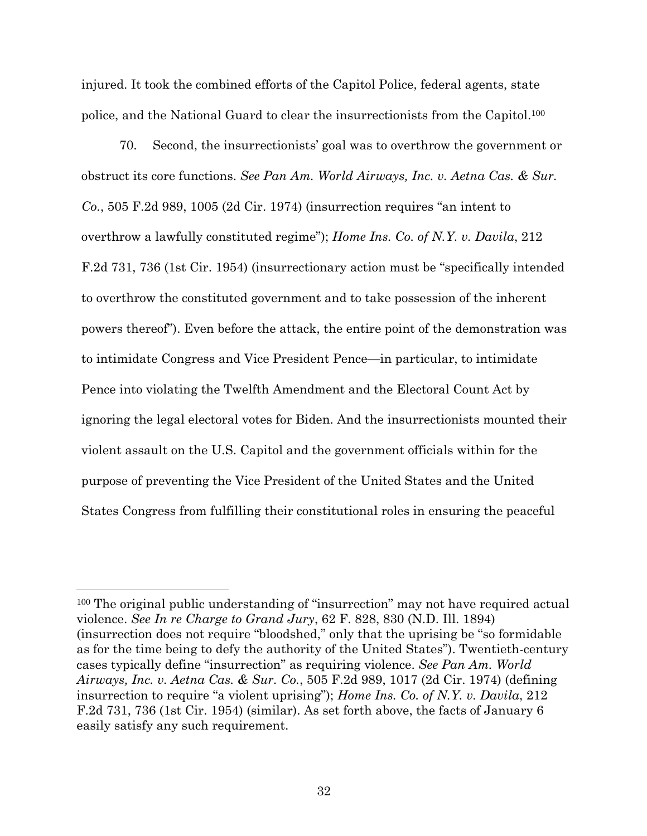injured. It took the combined efforts of the Capitol Police, federal agents, state police, and the National Guard to clear the insurrectionists from the Capitol.100

70. Second, the insurrectionists' goal was to overthrow the government or obstruct its core functions. *See Pan Am. World Airways, Inc. v. Aetna Cas. & Sur. Co.*, 505 F.2d 989, 1005 (2d Cir. 1974) (insurrection requires "an intent to overthrow a lawfully constituted regime"); *Home Ins. Co. of N.Y. v. Davila*, 212 F.2d 731, 736 (1st Cir. 1954) (insurrectionary action must be "specifically intended to overthrow the constituted government and to take possession of the inherent powers thereof"). Even before the attack, the entire point of the demonstration was to intimidate Congress and Vice President Pence—in particular, to intimidate Pence into violating the Twelfth Amendment and the Electoral Count Act by ignoring the legal electoral votes for Biden. And the insurrectionists mounted their violent assault on the U.S. Capitol and the government officials within for the purpose of preventing the Vice President of the United States and the United States Congress from fulfilling their constitutional roles in ensuring the peaceful

<sup>100</sup> The original public understanding of "insurrection" may not have required actual violence. *See In re Charge to Grand Jury*, 62 F. 828, 830 (N.D. Ill. 1894) (insurrection does not require "bloodshed," only that the uprising be "so formidable as for the time being to defy the authority of the United States"). Twentieth-century cases typically define "insurrection" as requiring violence. *See Pan Am. World Airways, Inc. v. Aetna Cas. & Sur. Co.*, 505 F.2d 989, 1017 (2d Cir. 1974) (defining insurrection to require "a violent uprising"); *Home Ins. Co. of N.Y. v. Davila*, 212 F.2d 731, 736 (1st Cir. 1954) (similar). As set forth above, the facts of January 6 easily satisfy any such requirement.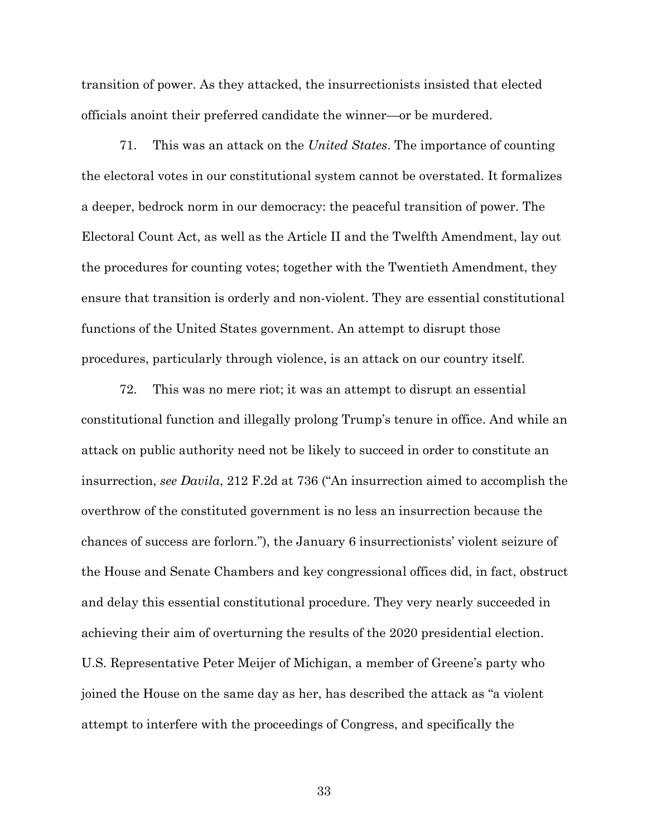transition of power. As they attacked, the insurrectionists insisted that elected officials anoint their preferred candidate the winner—or be murdered.

71. This was an attack on the *United States*. The importance of counting the electoral votes in our constitutional system cannot be overstated. It formalizes a deeper, bedrock norm in our democracy: the peaceful transition of power. The Electoral Count Act, as well as the Article II and the Twelfth Amendment, lay out the procedures for counting votes; together with the Twentieth Amendment, they ensure that transition is orderly and non-violent. They are essential constitutional functions of the United States government. An attempt to disrupt those procedures, particularly through violence, is an attack on our country itself.

72. This was no mere riot; it was an attempt to disrupt an essential constitutional function and illegally prolong Trump's tenure in office. And while an attack on public authority need not be likely to succeed in order to constitute an insurrection, *see Davila*, 212 F.2d at 736 ("An insurrection aimed to accomplish the overthrow of the constituted government is no less an insurrection because the chances of success are forlorn."), the January 6 insurrectionists' violent seizure of the House and Senate Chambers and key congressional offices did, in fact, obstruct and delay this essential constitutional procedure. They very nearly succeeded in achieving their aim of overturning the results of the 2020 presidential election. U.S. Representative Peter Meijer of Michigan, a member of Greene's party who joined the House on the same day as her, has described the attack as "a violent attempt to interfere with the proceedings of Congress, and specifically the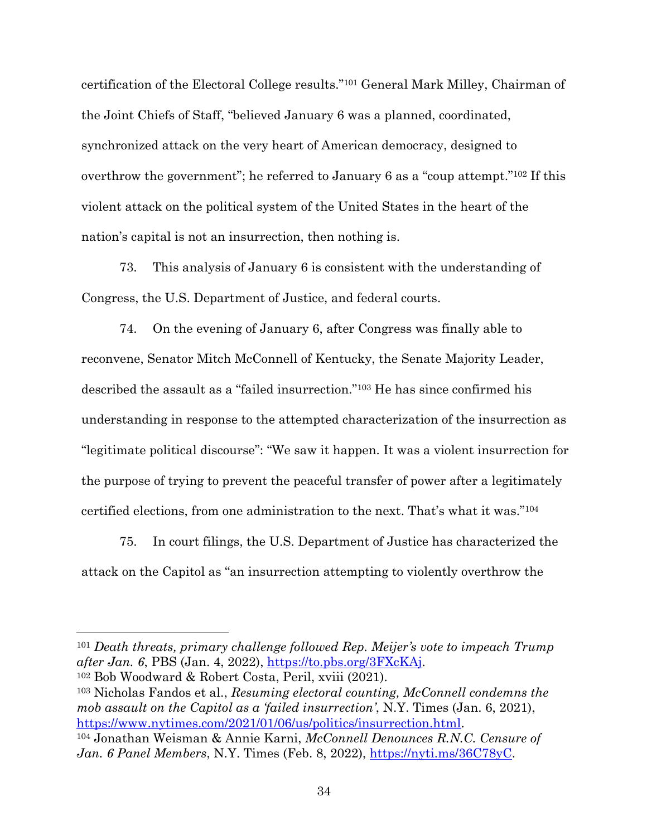certification of the Electoral College results."101 General Mark Milley, Chairman of the Joint Chiefs of Staff, "believed January 6 was a planned, coordinated, synchronized attack on the very heart of American democracy, designed to overthrow the government"; he referred to January 6 as a "coup attempt."102 If this violent attack on the political system of the United States in the heart of the nation's capital is not an insurrection, then nothing is.

73. This analysis of January 6 is consistent with the understanding of Congress, the U.S. Department of Justice, and federal courts.

74. On the evening of January 6, after Congress was finally able to reconvene, Senator Mitch McConnell of Kentucky, the Senate Majority Leader, described the assault as a "failed insurrection."103 He has since confirmed his understanding in response to the attempted characterization of the insurrection as "legitimate political discourse": "We saw it happen. It was a violent insurrection for the purpose of trying to prevent the peaceful transfer of power after a legitimately certified elections, from one administration to the next. That's what it was."104

75. In court filings, the U.S. Department of Justice has characterized the attack on the Capitol as "an insurrection attempting to violently overthrow the

<sup>101</sup> Death threats, primary challenge followed Rep. Meijer's vote to impeach Trump *after Jan. 6*, PBS (Jan. 4, 2022), https://to.pbs.org/3FXcKAj. 102 Bob Woodward & Robert Costa, Peril, xviii (2021).

<sup>103</sup> Nicholas Fandos et al., *Resuming electoral counting, McConnell condemns the mob assault on the Capitol as a 'failed insurrection'*, N.Y. Times (Jan. 6, 2021), https://www.nytimes.com/2021/01/06/us/politics/insurrection.html. 104 Jonathan Weisman & Annie Karni, *McConnell Denounces R.N.C. Censure of* 

Jan. 6 Panel Members, N.Y. Times (Feb. 8, 2022), https://nyti.ms/36C78yC.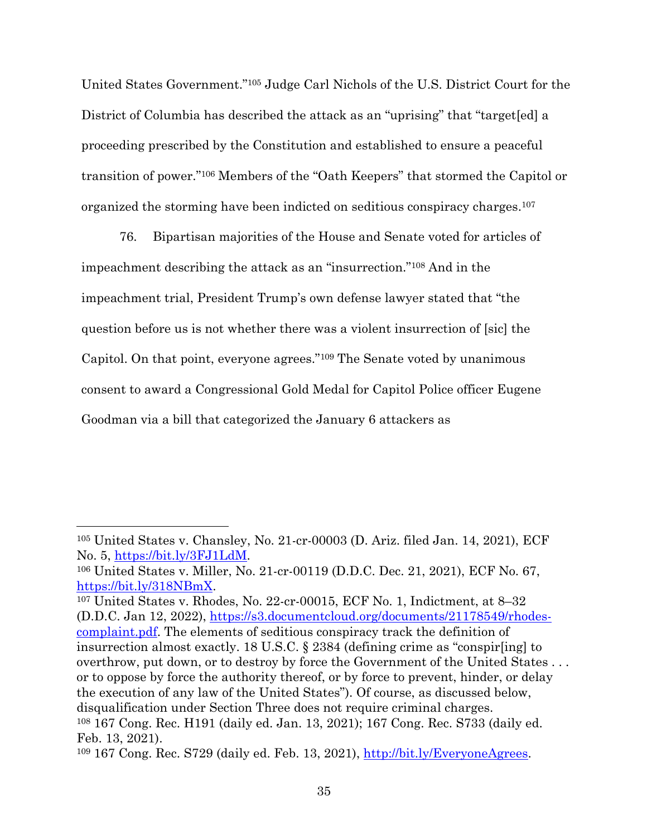United States Government."105 Judge Carl Nichols of the U.S. District Court for the District of Columbia has described the attack as an "uprising" that "target[ed] a proceeding prescribed by the Constitution and established to ensure a peaceful transition of power."106 Members of the "Oath Keepers" that stormed the Capitol or organized the storming have been indicted on seditious conspiracy charges.107

76. Bipartisan majorities of the House and Senate voted for articles of impeachment describing the attack as an "insurrection."108 And in the impeachment trial, President Trump's own defense lawyer stated that "the question before us is not whether there was a violent insurrection of [sic] the Capitol. On that point, everyone agrees."109 The Senate voted by unanimous consent to award a Congressional Gold Medal for Capitol Police officer Eugene Goodman via a bill that categorized the January 6 attackers as

<sup>105</sup> United States v. Chansley, No. 21-cr-00003 (D. Ariz. filed Jan. 14, 2021), ECF No. 5, <u>https://bit.ly/3FJ1LdM</u>.<br><sup>106</sup> United States v. Miller, No. 21-cr-00119 (D.D.C. Dec. 21, 2021), ECF No. 67,

https://bit.ly/318NBmX.<br><sup>107</sup> United States v. Rhodes, No. 22-cr-00015, ECF No. 1, Indictment, at 8–32

<sup>(</sup>D.D.C. Jan 12, 2022), https://s3.documentcloud.org/documents/21178549/rhodescomplaint.pdf. The elements of seditious conspiracy track the definition of insurrection almost exactly. 18 U.S.C. § 2384 (defining crime as "conspir[ing] to overthrow, put down, or to destroy by force the Government of the United States . . . or to oppose by force the authority thereof, or by force to prevent, hinder, or delay the execution of any law of the United States"). Of course, as discussed below, disqualification under Section Three does not require criminal charges. <sup>108</sup> 167 Cong. Rec. H191 (daily ed. Jan. 13, 2021); 167 Cong. Rec. S733 (daily ed. Feb. 13, 2021).

 $109$  167 Cong. Rec. S729 (daily ed. Feb. 13, 2021),  $\frac{http://bit.ly/EveryoneAgrees.}$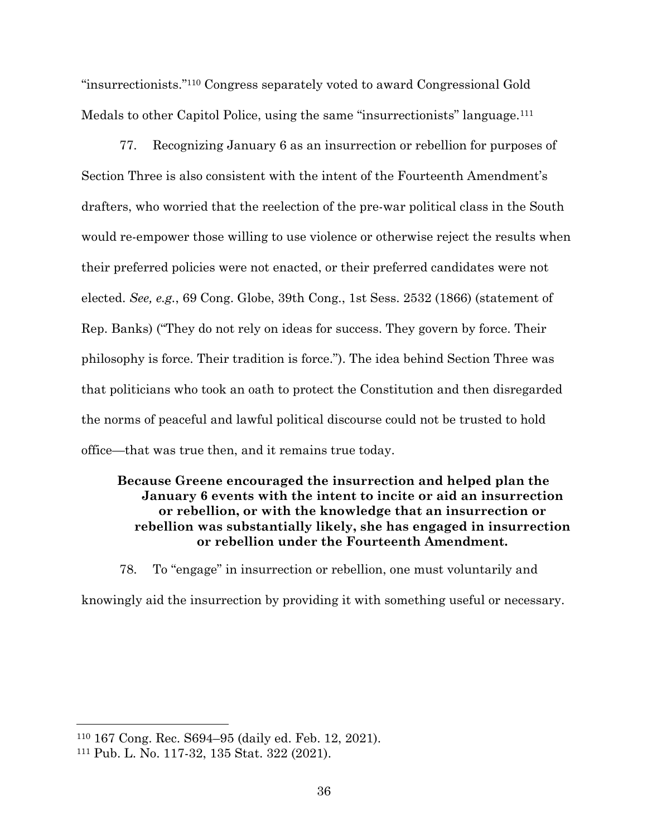"insurrectionists."110 Congress separately voted to award Congressional Gold Medals to other Capitol Police, using the same "insurrectionists" language.<sup>111</sup>

77. Recognizing January 6 as an insurrection or rebellion for purposes of Section Three is also consistent with the intent of the Fourteenth Amendment's drafters, who worried that the reelection of the pre-war political class in the South would re-empower those willing to use violence or otherwise reject the results when their preferred policies were not enacted, or their preferred candidates were not elected. *See, e.g.*, 69 Cong. Globe, 39th Cong., 1st Sess. 2532 (1866) (statement of Rep. Banks) ("They do not rely on ideas for success. They govern by force. Their philosophy is force. Their tradition is force."). The idea behind Section Three was that politicians who took an oath to protect the Constitution and then disregarded the norms of peaceful and lawful political discourse could not be trusted to hold office—that was true then, and it remains true today.

# **Because Greene encouraged the insurrection and helped plan the January 6 events with the intent to incite or aid an insurrection or rebellion, or with the knowledge that an insurrection or rebellion was substantially likely, she has engaged in insurrection or rebellion under the Fourteenth Amendment.**

78. To "engage" in insurrection or rebellion, one must voluntarily and knowingly aid the insurrection by providing it with something useful or necessary.

<sup>110</sup> 167 Cong. Rec. S694–95 (daily ed. Feb. 12, 2021).

<sup>111</sup> Pub. L. No. 117-32, 135 Stat. 322 (2021).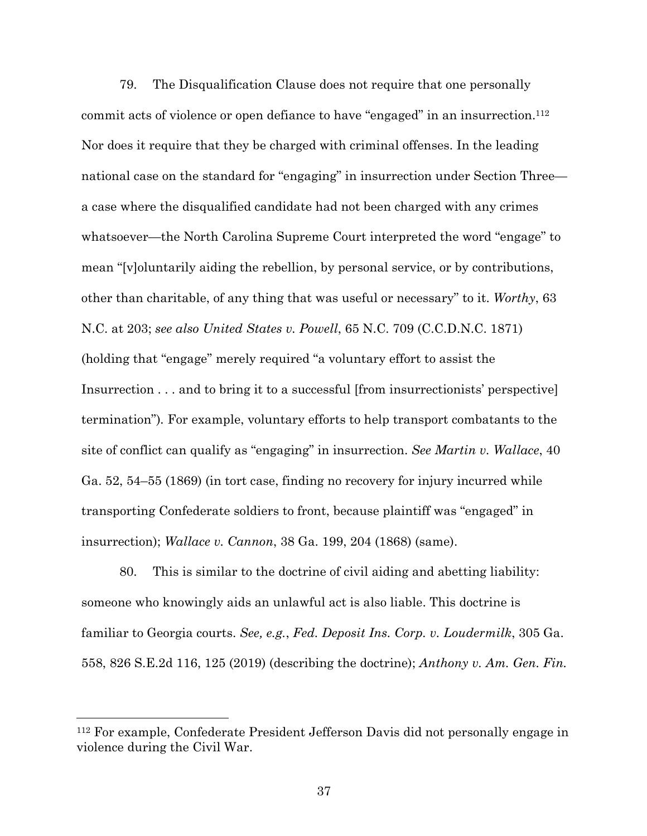79. The Disqualification Clause does not require that one personally commit acts of violence or open defiance to have "engaged" in an insurrection.<sup>112</sup> Nor does it require that they be charged with criminal offenses. In the leading national case on the standard for "engaging" in insurrection under Section Three a case where the disqualified candidate had not been charged with any crimes whatsoever—the North Carolina Supreme Court interpreted the word "engage" to mean "[v]oluntarily aiding the rebellion, by personal service, or by contributions, other than charitable, of any thing that was useful or necessary" to it. *Worthy*, 63 N.C. at 203; *see also United States v. Powell*, 65 N.C. 709 (C.C.D.N.C. 1871) (holding that "engage" merely required "a voluntary effort to assist the Insurrection . . . and to bring it to a successful [from insurrectionists' perspective] termination")*.* For example, voluntary efforts to help transport combatants to the site of conflict can qualify as "engaging" in insurrection. *See Martin v. Wallace*, 40 Ga. 52, 54–55 (1869) (in tort case, finding no recovery for injury incurred while transporting Confederate soldiers to front, because plaintiff was "engaged" in insurrection); *Wallace v. Cannon*, 38 Ga. 199, 204 (1868) (same).

80. This is similar to the doctrine of civil aiding and abetting liability: someone who knowingly aids an unlawful act is also liable. This doctrine is familiar to Georgia courts. *See, e.g.*, *Fed. Deposit Ins. Corp. v. Loudermilk*, 305 Ga. 558, 826 S.E.2d 116, 125 (2019) (describing the doctrine); *Anthony v. Am. Gen. Fin.* 

<sup>112</sup> For example, Confederate President Jefferson Davis did not personally engage in violence during the Civil War.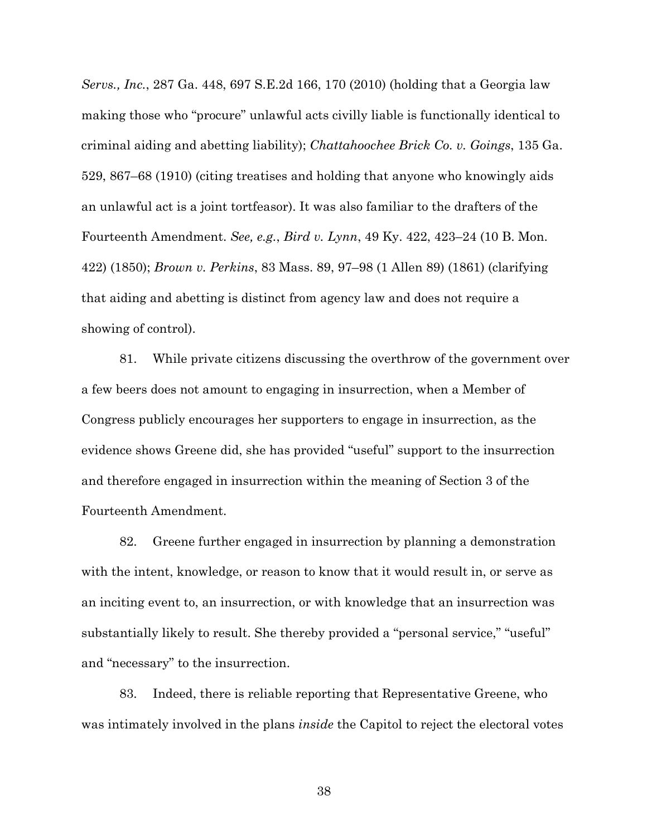*Servs., Inc.*, 287 Ga. 448, 697 S.E.2d 166, 170 (2010) (holding that a Georgia law making those who "procure" unlawful acts civilly liable is functionally identical to criminal aiding and abetting liability); *Chattahoochee Brick Co. v. Goings*, 135 Ga. 529, 867–68 (1910) (citing treatises and holding that anyone who knowingly aids an unlawful act is a joint tortfeasor). It was also familiar to the drafters of the Fourteenth Amendment. *See, e.g.*, *Bird v. Lynn*, 49 Ky. 422, 423–24 (10 B. Mon. 422) (1850); *Brown v. Perkins*, 83 Mass. 89, 97–98 (1 Allen 89) (1861) (clarifying that aiding and abetting is distinct from agency law and does not require a showing of control).

81. While private citizens discussing the overthrow of the government over a few beers does not amount to engaging in insurrection, when a Member of Congress publicly encourages her supporters to engage in insurrection, as the evidence shows Greene did, she has provided "useful" support to the insurrection and therefore engaged in insurrection within the meaning of Section 3 of the Fourteenth Amendment.

82. Greene further engaged in insurrection by planning a demonstration with the intent, knowledge, or reason to know that it would result in, or serve as an inciting event to, an insurrection, or with knowledge that an insurrection was substantially likely to result. She thereby provided a "personal service," "useful" and "necessary" to the insurrection.

83. Indeed, there is reliable reporting that Representative Greene, who was intimately involved in the plans *inside* the Capitol to reject the electoral votes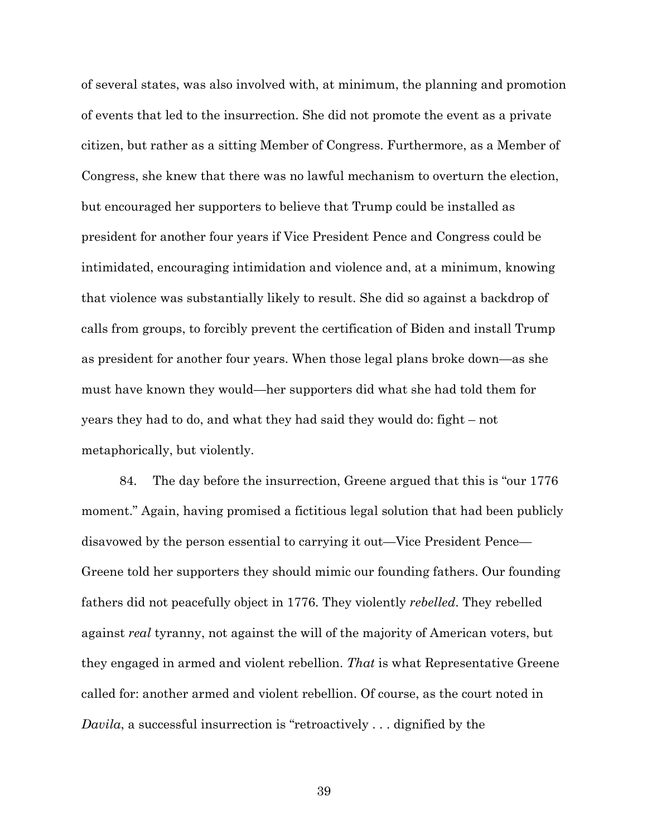of several states, was also involved with, at minimum, the planning and promotion of events that led to the insurrection. She did not promote the event as a private citizen, but rather as a sitting Member of Congress. Furthermore, as a Member of Congress, she knew that there was no lawful mechanism to overturn the election, but encouraged her supporters to believe that Trump could be installed as president for another four years if Vice President Pence and Congress could be intimidated, encouraging intimidation and violence and, at a minimum, knowing that violence was substantially likely to result. She did so against a backdrop of calls from groups, to forcibly prevent the certification of Biden and install Trump as president for another four years. When those legal plans broke down—as she must have known they would—her supporters did what she had told them for years they had to do, and what they had said they would do: fight – not metaphorically, but violently.

84. The day before the insurrection, Greene argued that this is "our 1776 moment." Again, having promised a fictitious legal solution that had been publicly disavowed by the person essential to carrying it out—Vice President Pence— Greene told her supporters they should mimic our founding fathers. Our founding fathers did not peacefully object in 1776. They violently *rebelled*. They rebelled against *real* tyranny, not against the will of the majority of American voters, but they engaged in armed and violent rebellion. *That* is what Representative Greene called for: another armed and violent rebellion. Of course, as the court noted in *Davila*, a successful insurrection is "retroactively . . . dignified by the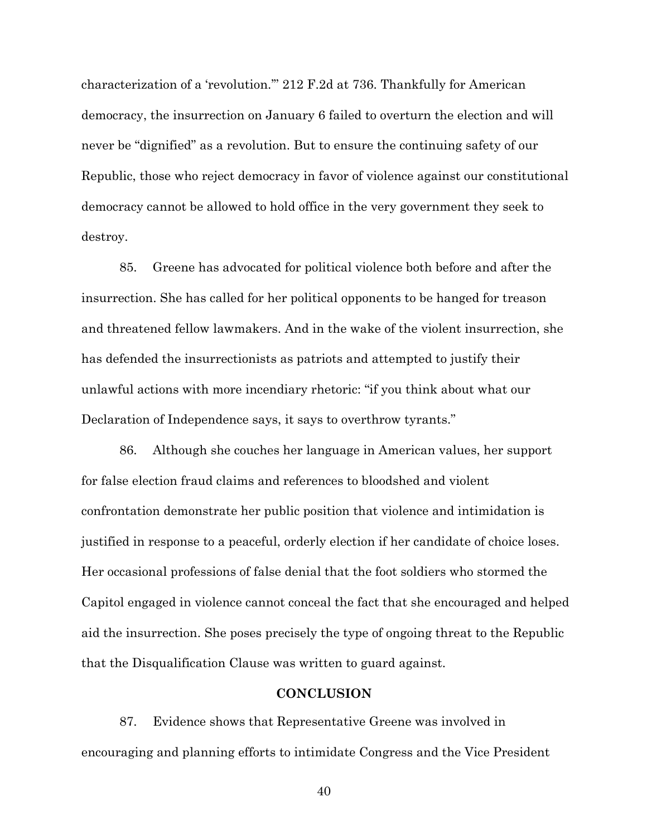characterization of a 'revolution.'" 212 F.2d at 736. Thankfully for American democracy, the insurrection on January 6 failed to overturn the election and will never be "dignified" as a revolution. But to ensure the continuing safety of our Republic, those who reject democracy in favor of violence against our constitutional democracy cannot be allowed to hold office in the very government they seek to destroy.

85. Greene has advocated for political violence both before and after the insurrection. She has called for her political opponents to be hanged for treason and threatened fellow lawmakers. And in the wake of the violent insurrection, she has defended the insurrectionists as patriots and attempted to justify their unlawful actions with more incendiary rhetoric: "if you think about what our Declaration of Independence says, it says to overthrow tyrants."

86. Although she couches her language in American values, her support for false election fraud claims and references to bloodshed and violent confrontation demonstrate her public position that violence and intimidation is justified in response to a peaceful, orderly election if her candidate of choice loses. Her occasional professions of false denial that the foot soldiers who stormed the Capitol engaged in violence cannot conceal the fact that she encouraged and helped aid the insurrection. She poses precisely the type of ongoing threat to the Republic that the Disqualification Clause was written to guard against.

## **CONCLUSION**

87. Evidence shows that Representative Greene was involved in encouraging and planning efforts to intimidate Congress and the Vice President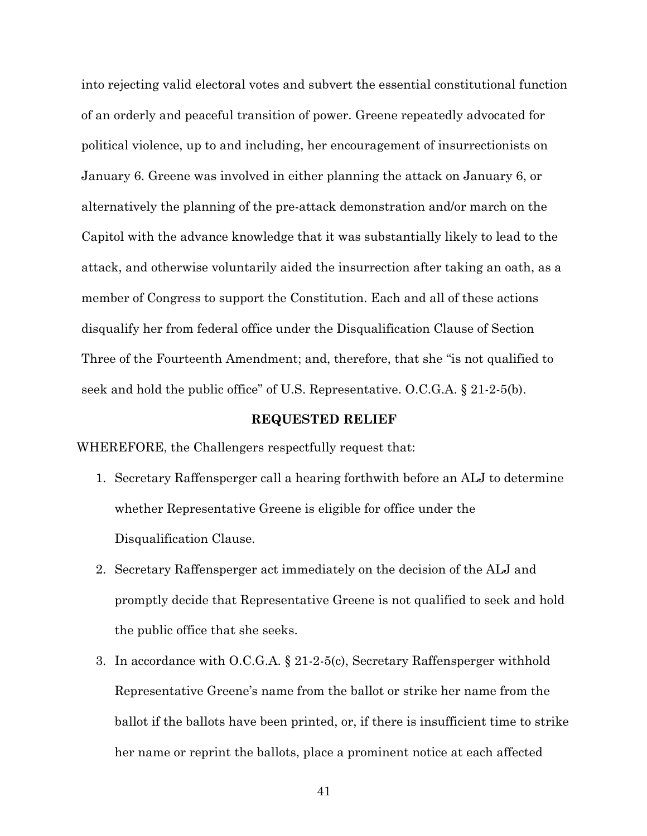into rejecting valid electoral votes and subvert the essential constitutional function of an orderly and peaceful transition of power. Greene repeatedly advocated for political violence, up to and including, her encouragement of insurrectionists on January 6. Greene was involved in either planning the attack on January 6, or alternatively the planning of the pre-attack demonstration and/or march on the Capitol with the advance knowledge that it was substantially likely to lead to the attack, and otherwise voluntarily aided the insurrection after taking an oath, as a member of Congress to support the Constitution. Each and all of these actions disqualify her from federal office under the Disqualification Clause of Section Three of the Fourteenth Amendment; and, therefore, that she "is not qualified to seek and hold the public office" of U.S. Representative. O.C.G.A. § 21-2-5(b).

#### **REQUESTED RELIEF**

WHEREFORE, the Challengers respectfully request that:

- 1. Secretary Raffensperger call a hearing forthwith before an ALJ to determine whether Representative Greene is eligible for office under the Disqualification Clause.
- 2. Secretary Raffensperger act immediately on the decision of the ALJ and promptly decide that Representative Greene is not qualified to seek and hold the public office that she seeks.
- 3. In accordance with O.C.G.A. § 21-2-5(c), Secretary Raffensperger withhold Representative Greene's name from the ballot or strike her name from the ballot if the ballots have been printed, or, if there is insufficient time to strike her name or reprint the ballots, place a prominent notice at each affected